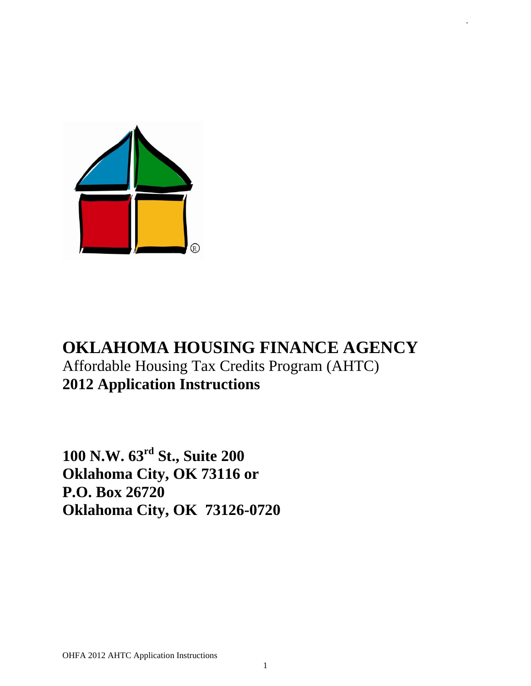

# **OKLAHOMA HOUSING FINANCE AGENCY** Affordable Housing Tax Credits Program (AHTC) **2012 Application Instructions**

.

**100 N.W. 63rd St., Suite 200 Oklahoma City, OK 73116 or P.O. Box 26720 Oklahoma City, OK 73126-0720**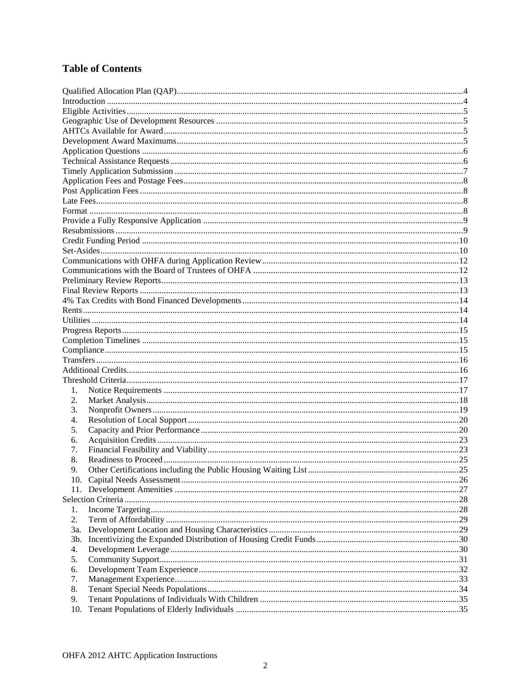# **Table of Contents**

| 1.  |  |
|-----|--|
| 2.  |  |
| 3.  |  |
| 4.  |  |
| 5.  |  |
| 6.  |  |
|     |  |
| 7.  |  |
| 8.  |  |
| 9.  |  |
|     |  |
|     |  |
|     |  |
| 1.  |  |
| 2.  |  |
| 3a. |  |
| 3b. |  |
| 4.  |  |
| 5.  |  |
| 6.  |  |
| 7.  |  |
| 8.  |  |
| 9.  |  |
| 10. |  |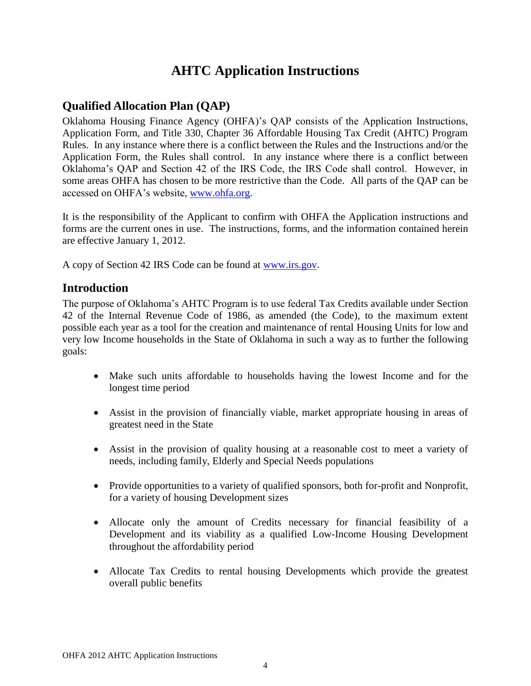# **AHTC Application Instructions**

# <span id="page-3-0"></span>**Qualified Allocation Plan (QAP)**

Oklahoma Housing Finance Agency (OHFA)'s QAP consists of the Application Instructions, Application Form, and Title 330, Chapter 36 Affordable Housing Tax Credit (AHTC) Program Rules. In any instance where there is a conflict between the Rules and the Instructions and/or the Application Form, the Rules shall control. In any instance where there is a conflict between Oklahoma's QAP and Section 42 of the IRS Code, the IRS Code shall control. However, in some areas OHFA has chosen to be more restrictive than the Code. All parts of the QAP can be accessed on OHFA's website, [www.ohfa.org.](http://www.ohfa.org/)

It is the responsibility of the Applicant to confirm with OHFA the Application instructions and forms are the current ones in use. The instructions, forms, and the information contained herein are effective January 1, 2012.

<span id="page-3-1"></span>A copy of Section 42 IRS Code can be found at [www.irs.gov.](http://www.irs.gov/)

## **Introduction**

The purpose of Oklahoma's AHTC Program is to use federal Tax Credits available under Section 42 of the Internal Revenue Code of 1986, as amended (the Code), to the maximum extent possible each year as a tool for the creation and maintenance of rental Housing Units for low and very low Income households in the State of Oklahoma in such a way as to further the following goals:

- Make such units affordable to households having the lowest Income and for the longest time period
- Assist in the provision of financially viable, market appropriate housing in areas of greatest need in the State
- Assist in the provision of quality housing at a reasonable cost to meet a variety of needs, including family, Elderly and Special Needs populations
- Provide opportunities to a variety of qualified sponsors, both for-profit and Nonprofit, for a variety of housing Development sizes
- Allocate only the amount of Credits necessary for financial feasibility of a Development and its viability as a qualified Low-Income Housing Development throughout the affordability period
- Allocate Tax Credits to rental housing Developments which provide the greatest overall public benefits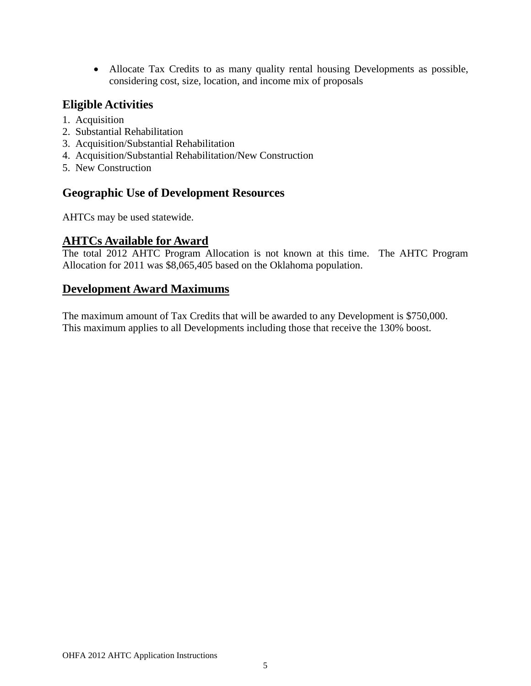Allocate Tax Credits to as many quality rental housing Developments as possible, considering cost, size, location, and income mix of proposals

# <span id="page-4-0"></span>**Eligible Activities**

- 1. Acquisition
- 2. Substantial Rehabilitation
- 3. Acquisition/Substantial Rehabilitation
- 4. Acquisition/Substantial Rehabilitation/New Construction
- 5. New Construction

## <span id="page-4-1"></span>**Geographic Use of Development Resources**

AHTCs may be used statewide.

# <span id="page-4-2"></span>**AHTCs Available for Award**

The total 2012 AHTC Program Allocation is not known at this time. The AHTC Program Allocation for 2011 was \$8,065,405 based on the Oklahoma population.

## <span id="page-4-3"></span>**Development Award Maximums**

The maximum amount of Tax Credits that will be awarded to any Development is \$750,000. This maximum applies to all Developments including those that receive the 130% boost.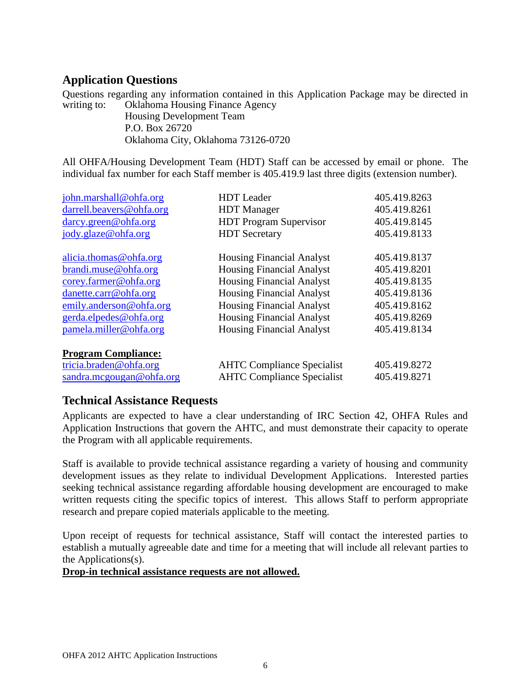# <span id="page-5-0"></span>**Application Questions**

Questions regarding any information contained in this Application Package may be directed in writing to: Oklahoma Housing Finance Agency

Housing Development Team P.O. Box 26720 Oklahoma City, Oklahoma 73126-0720

All OHFA/Housing Development Team (HDT) Staff can be accessed by email or phone. The individual fax number for each Staff member is 405.419.9 last three digits (extension number).

| john.marshall@ohfa.org                                                           | <b>HDT</b> Leader                                                      | 405.419.8263                 |
|----------------------------------------------------------------------------------|------------------------------------------------------------------------|------------------------------|
| darrell.beavers@ohfa.org                                                         | <b>HDT</b> Manager                                                     | 405.419.8261                 |
| darcy.green@ohfa.org                                                             | <b>HDT</b> Program Supervisor                                          | 405.419.8145                 |
| jody.glaze@ohfa.org                                                              | <b>HDT</b> Secretary                                                   | 405.419.8133                 |
| alicia. thomas@ohfa.org                                                          | <b>Housing Financial Analyst</b>                                       | 405.419.8137                 |
| brandi.muse@ohfa.org                                                             | <b>Housing Financial Analyst</b>                                       | 405.419.8201                 |
| corey.farmer@ohfa.org                                                            | <b>Housing Financial Analyst</b>                                       | 405.419.8135                 |
| danette.carr@ohfa.org                                                            | <b>Housing Financial Analyst</b>                                       | 405.419.8136                 |
| emily.anderson@ohfa.org                                                          | <b>Housing Financial Analyst</b>                                       | 405.419.8162                 |
| gerda.elpedes@ohfa.org                                                           | <b>Housing Financial Analyst</b>                                       | 405.419.8269                 |
| pamela.miller@ohfa.org                                                           | <b>Housing Financial Analyst</b>                                       | 405.419.8134                 |
| <b>Program Compliance:</b><br>tricia.braden@ohfa.org<br>sandra.mcgougan@ohfa.org | <b>AHTC Compliance Specialist</b><br><b>AHTC Compliance Specialist</b> | 405.419.8272<br>405.419.8271 |

## <span id="page-5-1"></span>**Technical Assistance Requests**

Applicants are expected to have a clear understanding of IRC Section 42, OHFA Rules and Application Instructions that govern the AHTC, and must demonstrate their capacity to operate the Program with all applicable requirements.

Staff is available to provide technical assistance regarding a variety of housing and community development issues as they relate to individual Development Applications. Interested parties seeking technical assistance regarding affordable housing development are encouraged to make written requests citing the specific topics of interest. This allows Staff to perform appropriate research and prepare copied materials applicable to the meeting.

Upon receipt of requests for technical assistance, Staff will contact the interested parties to establish a mutually agreeable date and time for a meeting that will include all relevant parties to the Applications(s).

#### **Drop-in technical assistance requests are not allowed.**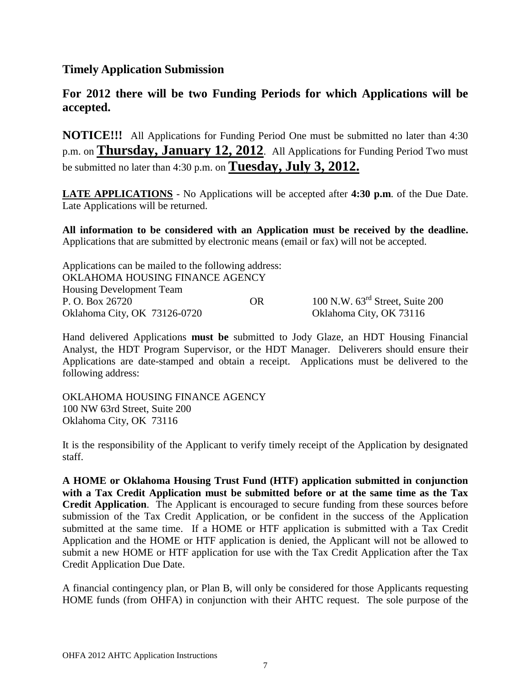## <span id="page-6-0"></span>**Timely Application Submission**

# **For 2012 there will be two Funding Periods for which Applications will be accepted.**

**NOTICE!!!** All Applications for Funding Period One must be submitted no later than 4:30 p.m. on **Thursday, January 12, 2012**. All Applications for Funding Period Two must be submitted no later than 4:30 p.m. on **Tuesday, July 3, 2012.**

**LATE APPLICATIONS** - No Applications will be accepted after **4:30 p.m**. of the Due Date. Late Applications will be returned.

**All information to be considered with an Application must be received by the deadline.**  Applications that are submitted by electronic means (email or fax) will not be accepted.

| Applications can be mailed to the following address: |    |                                             |
|------------------------------------------------------|----|---------------------------------------------|
| OKLAHOMA HOUSING FINANCE AGENCY                      |    |                                             |
| <b>Housing Development Team</b>                      |    |                                             |
| P. O. Box 26720                                      | OR | 100 N.W. $63^{\text{rd}}$ Street, Suite 200 |
| Oklahoma City, OK 73126-0720                         |    | Oklahoma City, OK 73116                     |

Hand delivered Applications **must be** submitted to Jody Glaze, an HDT Housing Financial Analyst, the HDT Program Supervisor, or the HDT Manager. Deliverers should ensure their Applications are date-stamped and obtain a receipt. Applications must be delivered to the following address:

OKLAHOMA HOUSING FINANCE AGENCY 100 NW 63rd Street, Suite 200 Oklahoma City, OK 73116

It is the responsibility of the Applicant to verify timely receipt of the Application by designated staff.

**A HOME or Oklahoma Housing Trust Fund (HTF) application submitted in conjunction with a Tax Credit Application must be submitted before or at the same time as the Tax Credit Application**. The Applicant is encouraged to secure funding from these sources before submission of the Tax Credit Application, or be confident in the success of the Application submitted at the same time. If a HOME or HTF application is submitted with a Tax Credit Application and the HOME or HTF application is denied, the Applicant will not be allowed to submit a new HOME or HTF application for use with the Tax Credit Application after the Tax Credit Application Due Date.

A financial contingency plan, or Plan B, will only be considered for those Applicants requesting HOME funds (from OHFA) in conjunction with their AHTC request. The sole purpose of the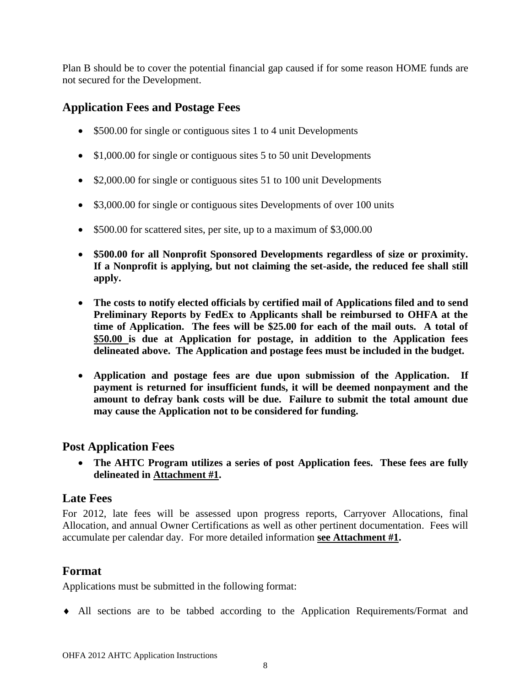Plan B should be to cover the potential financial gap caused if for some reason HOME funds are not secured for the Development.

# <span id="page-7-0"></span>**Application Fees and Postage Fees**

- \$500.00 for single or contiguous sites 1 to 4 unit Developments
- \$1,000.00 for single or contiguous sites 5 to 50 unit Developments
- \$2,000.00 for single or contiguous sites 51 to 100 unit Developments
- \$3,000.00 for single or contiguous sites Developments of over 100 units
- \$500.00 for scattered sites, per site, up to a maximum of \$3,000.00
- **\$500.00 for all Nonprofit Sponsored Developments regardless of size or proximity. If a Nonprofit is applying, but not claiming the set-aside, the reduced fee shall still apply.**
- **The costs to notify elected officials by certified mail of Applications filed and to send Preliminary Reports by FedEx to Applicants shall be reimbursed to OHFA at the time of Application. The fees will be \$25.00 for each of the mail outs. A total of \$50.00 is due at Application for postage, in addition to the Application fees delineated above. The Application and postage fees must be included in the budget.**
- **Application and postage fees are due upon submission of the Application. If payment is returned for insufficient funds, it will be deemed nonpayment and the amount to defray bank costs will be due. Failure to submit the total amount due may cause the Application not to be considered for funding.**

# <span id="page-7-1"></span>**Post Application Fees**

 **The AHTC Program utilizes a series of post Application fees. These fees are fully delineated in Attachment #1.** 

## <span id="page-7-2"></span>**Late Fees**

For 2012, late fees will be assessed upon progress reports, Carryover Allocations, final Allocation, and annual Owner Certifications as well as other pertinent documentation. Fees will accumulate per calendar day. For more detailed information **see Attachment #1.**

# <span id="page-7-3"></span>**Format**

Applications must be submitted in the following format:

All sections are to be tabbed according to the Application Requirements/Format and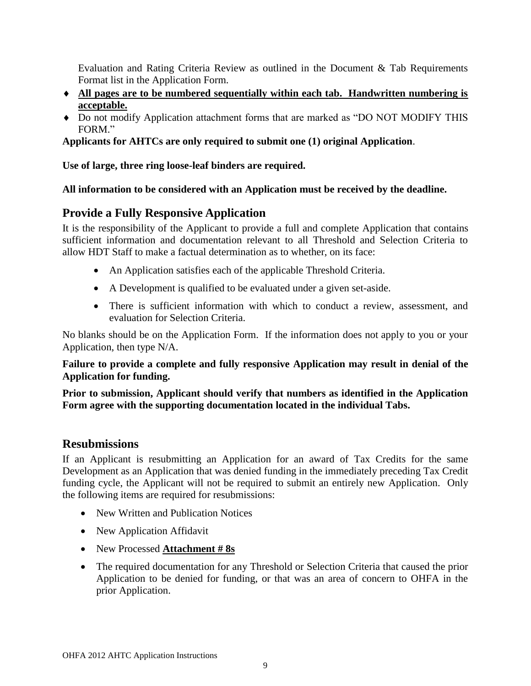Evaluation and Rating Criteria Review as outlined in the Document & Tab Requirements Format list in the Application Form.

- **All pages are to be numbered sequentially within each tab. Handwritten numbering is acceptable.**
- Do not modify Application attachment forms that are marked as "DO NOT MODIFY THIS FORM."

**Applicants for AHTCs are only required to submit one (1) original Application**.

**Use of large, three ring loose-leaf binders are required.**

## **All information to be considered with an Application must be received by the deadline.**

# <span id="page-8-0"></span>**Provide a Fully Responsive Application**

It is the responsibility of the Applicant to provide a full and complete Application that contains sufficient information and documentation relevant to all Threshold and Selection Criteria to allow HDT Staff to make a factual determination as to whether, on its face:

- An Application satisfies each of the applicable Threshold Criteria.
- A Development is qualified to be evaluated under a given set-aside.
- There is sufficient information with which to conduct a review, assessment, and evaluation for Selection Criteria.

No blanks should be on the Application Form. If the information does not apply to you or your Application, then type N/A.

**Failure to provide a complete and fully responsive Application may result in denial of the Application for funding.** 

**Prior to submission, Applicant should verify that numbers as identified in the Application Form agree with the supporting documentation located in the individual Tabs.**

## <span id="page-8-1"></span>**Resubmissions**

If an Applicant is resubmitting an Application for an award of Tax Credits for the same Development as an Application that was denied funding in the immediately preceding Tax Credit funding cycle, the Applicant will not be required to submit an entirely new Application. Only the following items are required for resubmissions:

- New Written and Publication Notices
- New Application Affidavit
- New Processed **Attachment # 8s**
- The required documentation for any Threshold or Selection Criteria that caused the prior Application to be denied for funding, or that was an area of concern to OHFA in the prior Application.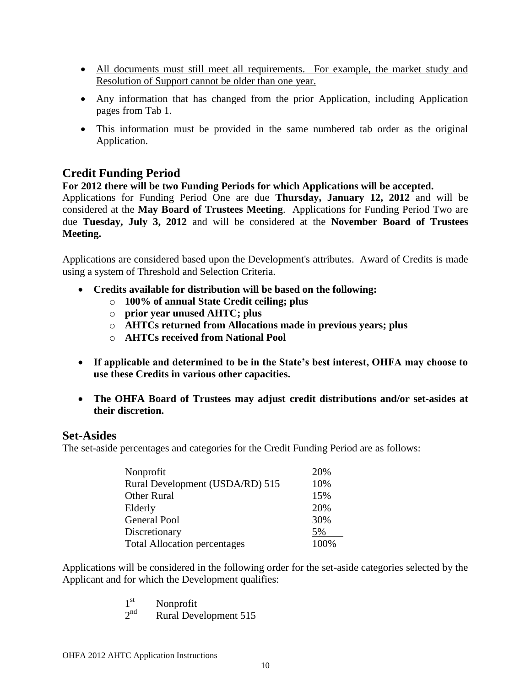- All documents must still meet all requirements. For example, the market study and Resolution of Support cannot be older than one year.
- Any information that has changed from the prior Application, including Application pages from Tab 1.
- This information must be provided in the same numbered tab order as the original Application.

# <span id="page-9-0"></span>**Credit Funding Period**

**For 2012 there will be two Funding Periods for which Applications will be accepted.** 

Applications for Funding Period One are due **Thursday, January 12, 2012** and will be considered at the **May Board of Trustees Meeting**. Applications for Funding Period Two are due **Tuesday, July 3, 2012** and will be considered at the **November Board of Trustees Meeting.**

Applications are considered based upon the Development's attributes. Award of Credits is made using a system of Threshold and Selection Criteria.

- **Credits available for distribution will be based on the following:**
	- o **100% of annual State Credit ceiling; plus**
	- o **prior year unused AHTC; plus**
	- o **AHTCs returned from Allocations made in previous years; plus**
	- o **AHTCs received from National Pool**
- **If applicable and determined to be in the State's best interest, OHFA may choose to use these Credits in various other capacities.**
- **The OHFA Board of Trustees may adjust credit distributions and/or set-asides at their discretion.**

## <span id="page-9-1"></span>**Set-Asides**

The set-aside percentages and categories for the Credit Funding Period are as follows:

| Nonprofit                           | 20%  |
|-------------------------------------|------|
| Rural Development (USDA/RD) 515     | 10%  |
| <b>Other Rural</b>                  | 15%  |
| Elderly                             | 20%  |
| <b>General Pool</b>                 | 30%  |
| Discretionary                       | 5%   |
| <b>Total Allocation percentages</b> | 100% |

Applications will be considered in the following order for the set-aside categories selected by the Applicant and for which the Development qualifies:

- 1 st Nonprofit
- $2^{nd}$ Rural Development 515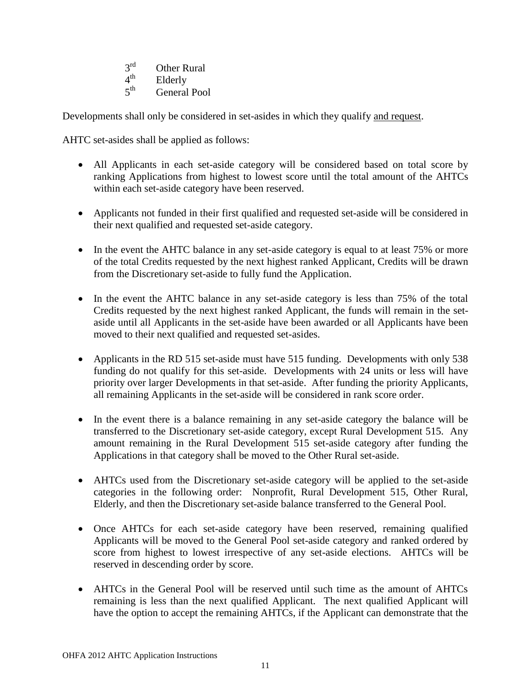- $2^{rd}$ **Other Rural**
- $4<sup>th</sup>$ Elderly
- $5<sup>th</sup>$ General Pool

Developments shall only be considered in set-asides in which they qualify and request.

AHTC set-asides shall be applied as follows:

- All Applicants in each set-aside category will be considered based on total score by ranking Applications from highest to lowest score until the total amount of the AHTCs within each set-aside category have been reserved.
- Applicants not funded in their first qualified and requested set-aside will be considered in their next qualified and requested set-aside category.
- In the event the AHTC balance in any set-aside category is equal to at least 75% or more of the total Credits requested by the next highest ranked Applicant, Credits will be drawn from the Discretionary set-aside to fully fund the Application.
- In the event the AHTC balance in any set-aside category is less than 75% of the total Credits requested by the next highest ranked Applicant, the funds will remain in the setaside until all Applicants in the set-aside have been awarded or all Applicants have been moved to their next qualified and requested set-asides.
- Applicants in the RD 515 set-aside must have 515 funding. Developments with only 538 funding do not qualify for this set-aside. Developments with 24 units or less will have priority over larger Developments in that set-aside. After funding the priority Applicants, all remaining Applicants in the set-aside will be considered in rank score order.
- In the event there is a balance remaining in any set-aside category the balance will be transferred to the Discretionary set-aside category, except Rural Development 515. Any amount remaining in the Rural Development 515 set-aside category after funding the Applications in that category shall be moved to the Other Rural set-aside.
- AHTCs used from the Discretionary set-aside category will be applied to the set-aside categories in the following order: Nonprofit, Rural Development 515, Other Rural, Elderly, and then the Discretionary set-aside balance transferred to the General Pool.
- Once AHTCs for each set-aside category have been reserved, remaining qualified Applicants will be moved to the General Pool set-aside category and ranked ordered by score from highest to lowest irrespective of any set-aside elections. AHTCs will be reserved in descending order by score.
- AHTCs in the General Pool will be reserved until such time as the amount of AHTCs remaining is less than the next qualified Applicant. The next qualified Applicant will have the option to accept the remaining AHTCs, if the Applicant can demonstrate that the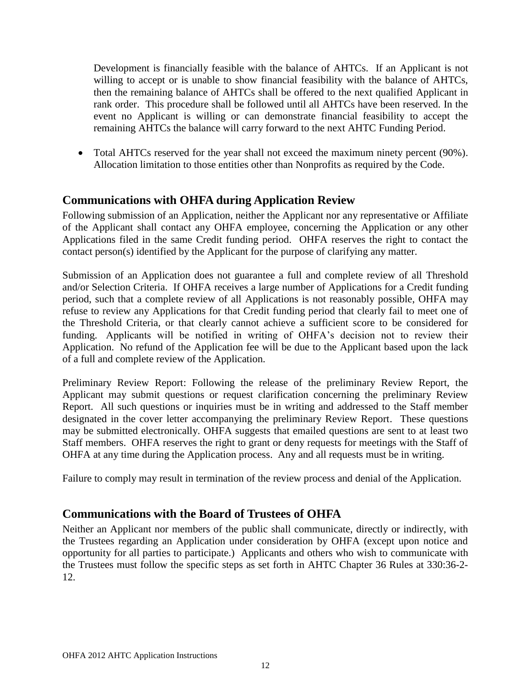Development is financially feasible with the balance of AHTCs. If an Applicant is not willing to accept or is unable to show financial feasibility with the balance of AHTCs, then the remaining balance of AHTCs shall be offered to the next qualified Applicant in rank order. This procedure shall be followed until all AHTCs have been reserved. In the event no Applicant is willing or can demonstrate financial feasibility to accept the remaining AHTCs the balance will carry forward to the next AHTC Funding Period.

 Total AHTCs reserved for the year shall not exceed the maximum ninety percent (90%). Allocation limitation to those entities other than Nonprofits as required by the Code.

# <span id="page-11-0"></span>**Communications with OHFA during Application Review**

Following submission of an Application, neither the Applicant nor any representative or Affiliate of the Applicant shall contact any OHFA employee, concerning the Application or any other Applications filed in the same Credit funding period. OHFA reserves the right to contact the contact person(s) identified by the Applicant for the purpose of clarifying any matter.

Submission of an Application does not guarantee a full and complete review of all Threshold and/or Selection Criteria. If OHFA receives a large number of Applications for a Credit funding period, such that a complete review of all Applications is not reasonably possible, OHFA may refuse to review any Applications for that Credit funding period that clearly fail to meet one of the Threshold Criteria, or that clearly cannot achieve a sufficient score to be considered for funding. Applicants will be notified in writing of OHFA's decision not to review their Application. No refund of the Application fee will be due to the Applicant based upon the lack of a full and complete review of the Application.

Preliminary Review Report: Following the release of the preliminary Review Report, the Applicant may submit questions or request clarification concerning the preliminary Review Report. All such questions or inquiries must be in writing and addressed to the Staff member designated in the cover letter accompanying the preliminary Review Report. These questions may be submitted electronically. OHFA suggests that emailed questions are sent to at least two Staff members. OHFA reserves the right to grant or deny requests for meetings with the Staff of OHFA at any time during the Application process. Any and all requests must be in writing.

Failure to comply may result in termination of the review process and denial of the Application.

# <span id="page-11-1"></span>**Communications with the Board of Trustees of OHFA**

Neither an Applicant nor members of the public shall communicate, directly or indirectly, with the Trustees regarding an Application under consideration by OHFA (except upon notice and opportunity for all parties to participate.) Applicants and others who wish to communicate with the Trustees must follow the specific steps as set forth in AHTC Chapter 36 Rules at 330:36-2- 12.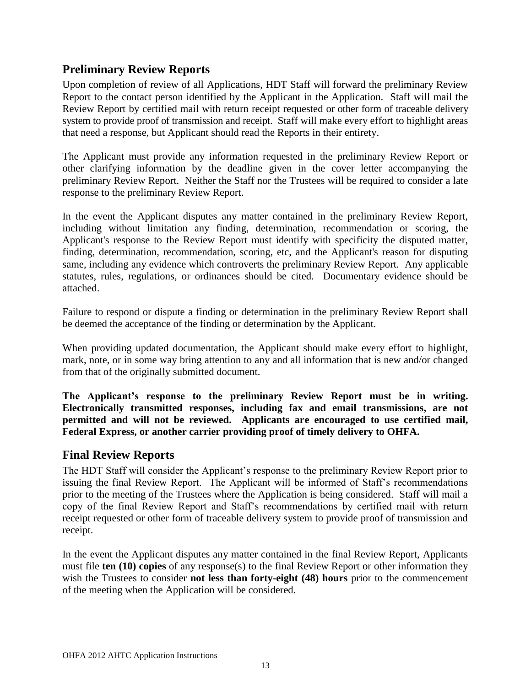# <span id="page-12-0"></span>**Preliminary Review Reports**

Upon completion of review of all Applications, HDT Staff will forward the preliminary Review Report to the contact person identified by the Applicant in the Application. Staff will mail the Review Report by certified mail with return receipt requested or other form of traceable delivery system to provide proof of transmission and receipt. Staff will make every effort to highlight areas that need a response, but Applicant should read the Reports in their entirety.

The Applicant must provide any information requested in the preliminary Review Report or other clarifying information by the deadline given in the cover letter accompanying the preliminary Review Report. Neither the Staff nor the Trustees will be required to consider a late response to the preliminary Review Report.

In the event the Applicant disputes any matter contained in the preliminary Review Report, including without limitation any finding, determination, recommendation or scoring, the Applicant's response to the Review Report must identify with specificity the disputed matter, finding, determination, recommendation, scoring, etc, and the Applicant's reason for disputing same, including any evidence which controverts the preliminary Review Report. Any applicable statutes, rules, regulations, or ordinances should be cited. Documentary evidence should be attached.

Failure to respond or dispute a finding or determination in the preliminary Review Report shall be deemed the acceptance of the finding or determination by the Applicant.

When providing updated documentation, the Applicant should make every effort to highlight, mark, note, or in some way bring attention to any and all information that is new and/or changed from that of the originally submitted document.

**The Applicant's response to the preliminary Review Report must be in writing. Electronically transmitted responses, including fax and email transmissions, are not permitted and will not be reviewed. Applicants are encouraged to use certified mail, Federal Express, or another carrier providing proof of timely delivery to OHFA.**

## <span id="page-12-1"></span>**Final Review Reports**

The HDT Staff will consider the Applicant's response to the preliminary Review Report prior to issuing the final Review Report. The Applicant will be informed of Staff's recommendations prior to the meeting of the Trustees where the Application is being considered. Staff will mail a copy of the final Review Report and Staff's recommendations by certified mail with return receipt requested or other form of traceable delivery system to provide proof of transmission and receipt.

In the event the Applicant disputes any matter contained in the final Review Report, Applicants must file **ten (10) copies** of any response(s) to the final Review Report or other information they wish the Trustees to consider **not less than forty-eight (48) hours** prior to the commencement of the meeting when the Application will be considered.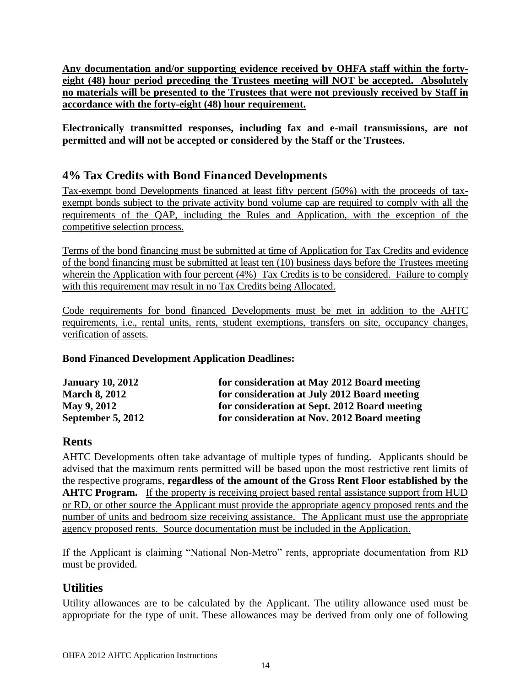**Any documentation and/or supporting evidence received by OHFA staff within the fortyeight (48) hour period preceding the Trustees meeting will NOT be accepted. Absolutely no materials will be presented to the Trustees that were not previously received by Staff in accordance with the forty-eight (48) hour requirement.**

**Electronically transmitted responses, including fax and e-mail transmissions, are not permitted and will not be accepted or considered by the Staff or the Trustees.**

# <span id="page-13-0"></span>**4% Tax Credits with Bond Financed Developments**

Tax-exempt bond Developments financed at least fifty percent (50%) with the proceeds of taxexempt bonds subject to the private activity bond volume cap are required to comply with all the requirements of the QAP, including the Rules and Application, with the exception of the competitive selection process.

Terms of the bond financing must be submitted at time of Application for Tax Credits and evidence of the bond financing must be submitted at least ten (10) business days before the Trustees meeting wherein the Application with four percent (4%) Tax Credits is to be considered. Failure to comply with this requirement may result in no Tax Credits being Allocated.

Code requirements for bond financed Developments must be met in addition to the AHTC requirements, i.e., rental units, rents, student exemptions, transfers on site, occupancy changes, verification of assets.

## **Bond Financed Development Application Deadlines:**

| <b>January 10, 2012</b>  | for consideration at May 2012 Board meeting   |
|--------------------------|-----------------------------------------------|
| <b>March 8, 2012</b>     | for consideration at July 2012 Board meeting  |
| <b>May 9, 2012</b>       | for consideration at Sept. 2012 Board meeting |
| <b>September 5, 2012</b> | for consideration at Nov. 2012 Board meeting  |

# <span id="page-13-1"></span>**Rents**

AHTC Developments often take advantage of multiple types of funding. Applicants should be advised that the maximum rents permitted will be based upon the most restrictive rent limits of the respective programs, **regardless of the amount of the Gross Rent Floor established by the AHTC Program.** If the property is receiving project based rental assistance support from HUD or RD, or other source the Applicant must provide the appropriate agency proposed rents and the number of units and bedroom size receiving assistance. The Applicant must use the appropriate agency proposed rents. Source documentation must be included in the Application.

If the Applicant is claiming "National Non-Metro" rents, appropriate documentation from RD must be provided.

# <span id="page-13-2"></span>**Utilities**

Utility allowances are to be calculated by the Applicant. The utility allowance used must be appropriate for the type of unit. These allowances may be derived from only one of following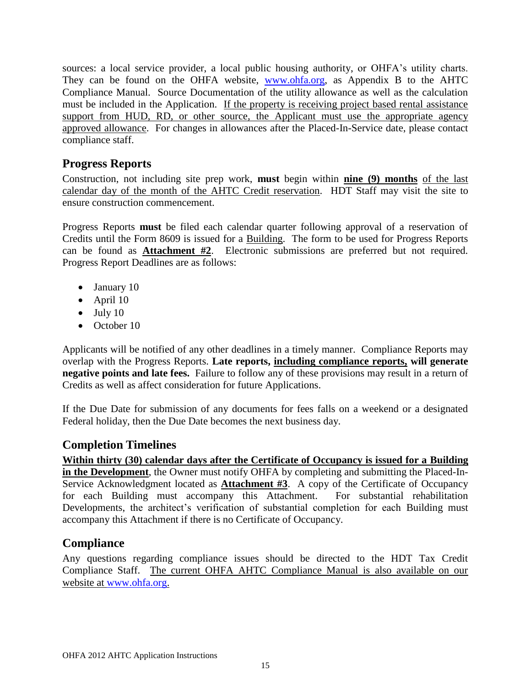sources: a local service provider, a local public housing authority, or OHFA's utility charts. They can be found on the OHFA website, [www.ohfa.org,](http://www.ohfa.org/) as Appendix B to the AHTC Compliance Manual. Source Documentation of the utility allowance as well as the calculation must be included in the Application. If the property is receiving project based rental assistance support from HUD, RD, or other source, the Applicant must use the appropriate agency approved allowance. For changes in allowances after the Placed-In-Service date, please contact compliance staff.

# <span id="page-14-0"></span>**Progress Reports**

Construction, not including site prep work, **must** begin within **nine (9) months** of the last calendar day of the month of the AHTC Credit reservation. HDT Staff may visit the site to ensure construction commencement.

Progress Reports **must** be filed each calendar quarter following approval of a reservation of Credits until the Form 8609 is issued for a Building. The form to be used for Progress Reports can be found as **Attachment #2**. Electronic submissions are preferred but not required. Progress Report Deadlines are as follows:

- January 10
- April 10
- $\bullet$  July 10
- October 10

Applicants will be notified of any other deadlines in a timely manner. Compliance Reports may overlap with the Progress Reports. **Late reports, including compliance reports, will generate negative points and late fees.** Failure to follow any of these provisions may result in a return of Credits as well as affect consideration for future Applications.

If the Due Date for submission of any documents for fees falls on a weekend or a designated Federal holiday, then the Due Date becomes the next business day.

# <span id="page-14-1"></span>**Completion Timelines**

**Within thirty (30) calendar days after the Certificate of Occupancy is issued for a Building in the Development**, the Owner must notify OHFA by completing and submitting the Placed-In-Service Acknowledgment located as **Attachment #3**. A copy of the Certificate of Occupancy for each Building must accompany this Attachment. For substantial rehabilitation Developments, the architect's verification of substantial completion for each Building must accompany this Attachment if there is no Certificate of Occupancy.

# <span id="page-14-2"></span>**Compliance**

Any questions regarding compliance issues should be directed to the HDT Tax Credit Compliance Staff. The current OHFA AHTC Compliance Manual is also available on our website at [www.ohfa.org.](http://www.ohfa.org/)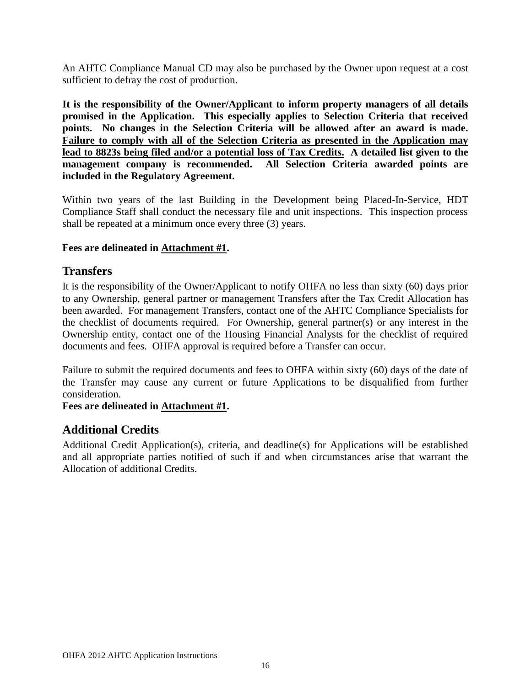An AHTC Compliance Manual CD may also be purchased by the Owner upon request at a cost sufficient to defray the cost of production.

**It is the responsibility of the Owner/Applicant to inform property managers of all details promised in the Application. This especially applies to Selection Criteria that received points. No changes in the Selection Criteria will be allowed after an award is made. Failure to comply with all of the Selection Criteria as presented in the Application may lead to 8823s being filed and/or a potential loss of Tax Credits. A detailed list given to the management company is recommended. All Selection Criteria awarded points are included in the Regulatory Agreement.**

Within two years of the last Building in the Development being Placed-In-Service, HDT Compliance Staff shall conduct the necessary file and unit inspections. This inspection process shall be repeated at a minimum once every three (3) years.

#### <span id="page-15-0"></span>**Fees are delineated in Attachment #1.**

## **Transfers**

It is the responsibility of the Owner/Applicant to notify OHFA no less than sixty (60) days prior to any Ownership, general partner or management Transfers after the Tax Credit Allocation has been awarded. For management Transfers, contact one of the AHTC Compliance Specialists for the checklist of documents required. For Ownership, general partner(s) or any interest in the Ownership entity, contact one of the Housing Financial Analysts for the checklist of required documents and fees. OHFA approval is required before a Transfer can occur.

Failure to submit the required documents and fees to OHFA within sixty (60) days of the date of the Transfer may cause any current or future Applications to be disqualified from further consideration.

## <span id="page-15-1"></span>**Fees are delineated in Attachment #1.**

# **Additional Credits**

Additional Credit Application(s), criteria, and deadline(s) for Applications will be established and all appropriate parties notified of such if and when circumstances arise that warrant the Allocation of additional Credits.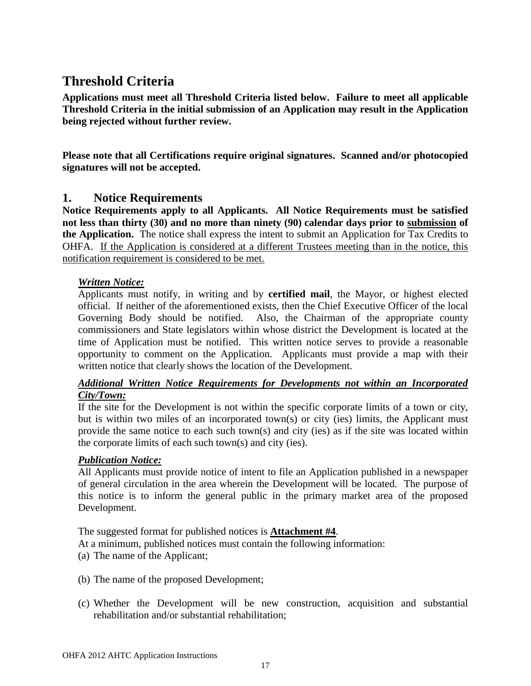# <span id="page-16-0"></span>**Threshold Criteria**

**Applications must meet all Threshold Criteria listed below. Failure to meet all applicable Threshold Criteria in the initial submission of an Application may result in the Application being rejected without further review.** 

**Please note that all Certifications require original signatures. Scanned and/or photocopied signatures will not be accepted.**

## <span id="page-16-1"></span>**1. Notice Requirements**

**Notice Requirements apply to all Applicants. All Notice Requirements must be satisfied not less than thirty (30) and no more than ninety (90) calendar days prior to submission of the Application.** The notice shall express the intent to submit an Application for Tax Credits to OHFA. If the Application is considered at a different Trustees meeting than in the notice, this notification requirement is considered to be met.

#### *Written Notice:*

Applicants must notify, in writing and by **certified mail**, the Mayor, or highest elected official. If neither of the aforementioned exists, then the Chief Executive Officer of the local Governing Body should be notified. Also, the Chairman of the appropriate county commissioners and State legislators within whose district the Development is located at the time of Application must be notified. This written notice serves to provide a reasonable opportunity to comment on the Application. Applicants must provide a map with their written notice that clearly shows the location of the Development.

#### *Additional Written Notice Requirements for Developments not within an Incorporated City/Town:*

If the site for the Development is not within the specific corporate limits of a town or city, but is within two miles of an incorporated town(s) or city (ies) limits, the Applicant must provide the same notice to each such town(s) and city (ies) as if the site was located within the corporate limits of each such town(s) and city (ies).

## *Publication Notice:*

All Applicants must provide notice of intent to file an Application published in a newspaper of general circulation in the area wherein the Development will be located. The purpose of this notice is to inform the general public in the primary market area of the proposed Development.

The suggested format for published notices is **Attachment #4**.

At a minimum, published notices must contain the following information:

- (a) The name of the Applicant;
- (b) The name of the proposed Development;
- (c) Whether the Development will be new construction, acquisition and substantial rehabilitation and/or substantial rehabilitation;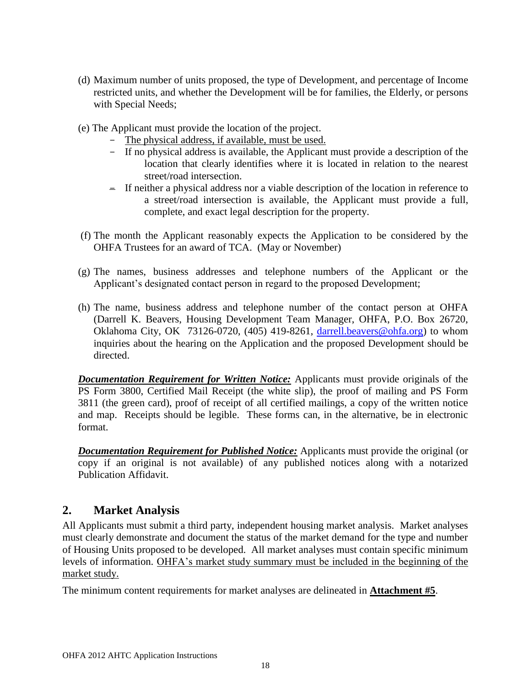- (d) Maximum number of units proposed, the type of Development, and percentage of Income restricted units, and whether the Development will be for families, the Elderly, or persons with Special Needs;
- (e) The Applicant must provide the location of the project.
	- The physical address, if available, must be used.
	- If no physical address is available, the Applicant must provide a description of the location that clearly identifies where it is located in relation to the nearest street/road intersection.
	- If neither a physical address nor a viable description of the location in reference to a street/road intersection is available, the Applicant must provide a full, complete, and exact legal description for the property.
- (f) The month the Applicant reasonably expects the Application to be considered by the OHFA Trustees for an award of TCA. (May or November)
- (g) The names, business addresses and telephone numbers of the Applicant or the Applicant's designated contact person in regard to the proposed Development;
- (h) The name, business address and telephone number of the contact person at OHFA (Darrell K. Beavers, Housing Development Team Manager, OHFA, P.O. Box 26720, Oklahoma City, OK 73126-0720, (405) 419-8261, [darrell.beavers@ohfa.org\)](mailto:darrell.beavers@ohfa.org) to whom inquiries about the hearing on the Application and the proposed Development should be directed.

*Documentation Requirement for Written Notice:* Applicants must provide originals of the PS Form 3800, Certified Mail Receipt (the white slip), the proof of mailing and PS Form 3811 (the green card), proof of receipt of all certified mailings, a copy of the written notice and map. Receipts should be legible. These forms can, in the alternative, be in electronic format.

*Documentation Requirement for Published Notice:* Applicants must provide the original (or copy if an original is not available) of any published notices along with a notarized Publication Affidavit.

# <span id="page-17-0"></span>**2. Market Analysis**

All Applicants must submit a third party, independent housing market analysis. Market analyses must clearly demonstrate and document the status of the market demand for the type and number of Housing Units proposed to be developed. All market analyses must contain specific minimum levels of information. OHFA's market study summary must be included in the beginning of the market study.

The minimum content requirements for market analyses are delineated in **Attachment #5**.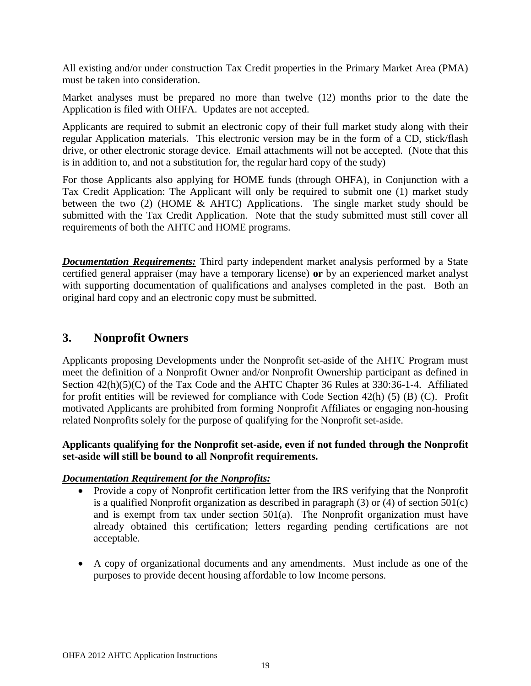All existing and/or under construction Tax Credit properties in the Primary Market Area (PMA) must be taken into consideration.

Market analyses must be prepared no more than twelve (12) months prior to the date the Application is filed with OHFA. Updates are not accepted.

Applicants are required to submit an electronic copy of their full market study along with their regular Application materials. This electronic version may be in the form of a CD, stick/flash drive, or other electronic storage device. Email attachments will not be accepted. (Note that this is in addition to, and not a substitution for, the regular hard copy of the study)

For those Applicants also applying for HOME funds (through OHFA), in Conjunction with a Tax Credit Application: The Applicant will only be required to submit one (1) market study between the two (2) (HOME & AHTC) Applications. The single market study should be submitted with the Tax Credit Application. Note that the study submitted must still cover all requirements of both the AHTC and HOME programs.

*Documentation Requirements:* Third party independent market analysis performed by a State certified general appraiser (may have a temporary license) **or** by an experienced market analyst with supporting documentation of qualifications and analyses completed in the past. Both an original hard copy and an electronic copy must be submitted.

## <span id="page-18-0"></span>**3. Nonprofit Owners**

Applicants proposing Developments under the Nonprofit set-aside of the AHTC Program must meet the definition of a Nonprofit Owner and/or Nonprofit Ownership participant as defined in Section 42(h)(5)(C) of the Tax Code and the AHTC Chapter 36 Rules at 330:36-1-4. Affiliated for profit entities will be reviewed for compliance with Code Section 42(h) (5) (B) (C). Profit motivated Applicants are prohibited from forming Nonprofit Affiliates or engaging non-housing related Nonprofits solely for the purpose of qualifying for the Nonprofit set-aside.

## **Applicants qualifying for the Nonprofit set-aside, even if not funded through the Nonprofit set-aside will still be bound to all Nonprofit requirements.**

#### *Documentation Requirement for the Nonprofits:*

- Provide a copy of Nonprofit certification letter from the IRS verifying that the Nonprofit is a qualified Nonprofit organization as described in paragraph (3) or (4) of section 501(c) and is exempt from tax under section 501(a). The Nonprofit organization must have already obtained this certification; letters regarding pending certifications are not acceptable.
- A copy of organizational documents and any amendments. Must include as one of the purposes to provide decent housing affordable to low Income persons.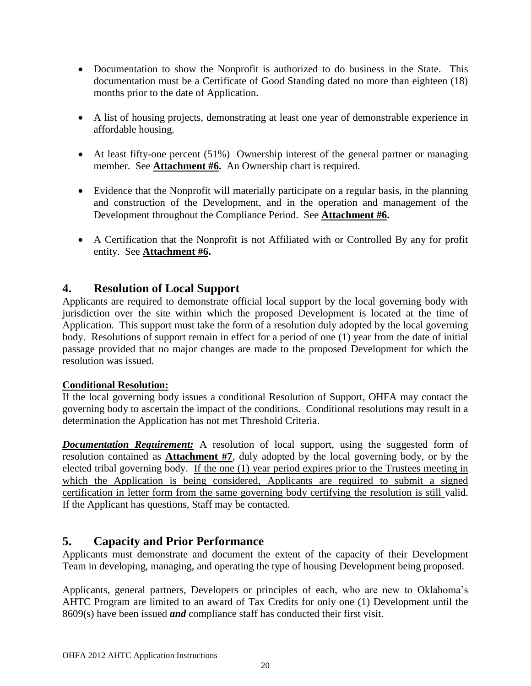- Documentation to show the Nonprofit is authorized to do business in the State. This documentation must be a Certificate of Good Standing dated no more than eighteen (18) months prior to the date of Application.
- A list of housing projects, demonstrating at least one year of demonstrable experience in affordable housing.
- At least fifty-one percent (51%) Ownership interest of the general partner or managing member. See **Attachment #6.** An Ownership chart is required.
- Evidence that the Nonprofit will materially participate on a regular basis, in the planning and construction of the Development, and in the operation and management of the Development throughout the Compliance Period. See **Attachment #6.**
- A Certification that the Nonprofit is not Affiliated with or Controlled By any for profit entity. See **Attachment #6.**

## <span id="page-19-0"></span>**4. Resolution of Local Support**

Applicants are required to demonstrate official local support by the local governing body with jurisdiction over the site within which the proposed Development is located at the time of Application. This support must take the form of a resolution duly adopted by the local governing body. Resolutions of support remain in effect for a period of one (1) year from the date of initial passage provided that no major changes are made to the proposed Development for which the resolution was issued.

## **Conditional Resolution:**

If the local governing body issues a conditional Resolution of Support, OHFA may contact the governing body to ascertain the impact of the conditions. Conditional resolutions may result in a determination the Application has not met Threshold Criteria.

**Documentation Requirement:** A resolution of local support, using the suggested form of resolution contained as **Attachment #7**, duly adopted by the local governing body, or by the elected tribal governing body. If the one (1) year period expires prior to the Trustees meeting in which the Application is being considered, Applicants are required to submit a signed certification in letter form from the same governing body certifying the resolution is still valid. If the Applicant has questions, Staff may be contacted.

## <span id="page-19-1"></span>**5. Capacity and Prior Performance**

Applicants must demonstrate and document the extent of the capacity of their Development Team in developing, managing, and operating the type of housing Development being proposed.

Applicants, general partners, Developers or principles of each, who are new to Oklahoma's AHTC Program are limited to an award of Tax Credits for only one (1) Development until the 8609(s) have been issued *and* compliance staff has conducted their first visit.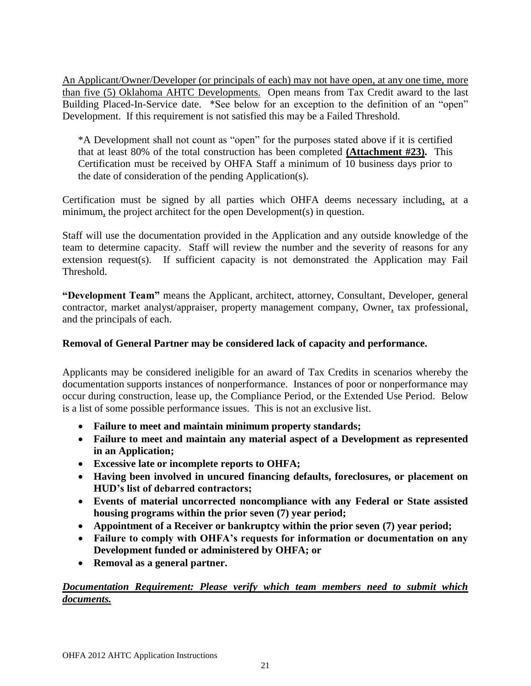An Applicant/Owner/Developer (or principals of each) may not have open, at any one time, more than five (5) Oklahoma AHTC Developments. Open means from Tax Credit award to the last Building Placed-In-Service date. \*See below for an exception to the definition of an "open" Development. If this requirement is not satisfied this may be a Failed Threshold.

\*A Development shall not count as "open" for the purposes stated above if it is certified that at least 80% of the total construction has been completed **(Attachment #23).** This Certification must be received by OHFA Staff a minimum of 10 business days prior to the date of consideration of the pending Application(s).

Certification must be signed by all parties which OHFA deems necessary including, at a minimum, the project architect for the open Development(s) in question.

Staff will use the documentation provided in the Application and any outside knowledge of the team to determine capacity. Staff will review the number and the severity of reasons for any extension request(s). If sufficient capacity is not demonstrated the Application may Fail Threshold.

**"Development Team"** means the Applicant, architect, attorney, Consultant, Developer, general contractor, market analyst/appraiser, property management company, Owner, tax professional, and the principals of each.

## **Removal of General Partner may be considered lack of capacity and performance.**

Applicants may be considered ineligible for an award of Tax Credits in scenarios whereby the documentation supports instances of nonperformance. Instances of poor or nonperformance may occur during construction, lease up, the Compliance Period, or the Extended Use Period. Below is a list of some possible performance issues. This is not an exclusive list.

- **Failure to meet and maintain minimum property standards;**
- **Failure to meet and maintain any material aspect of a Development as represented in an Application;**
- **Excessive late or incomplete reports to OHFA;**
- **Having been involved in uncured financing defaults, foreclosures, or placement on HUD's list of debarred contractors;**
- **Events of material uncorrected noncompliance with any Federal or State assisted housing programs within the prior seven (7) year period;**
- **Appointment of a Receiver or bankruptcy within the prior seven (7) year period;**
- **Failure to comply with OHFA's requests for information or documentation on any Development funded or administered by OHFA; or**
- **Removal as a general partner.**

## *Documentation Requirement: Please verify which team members need to submit which documents.*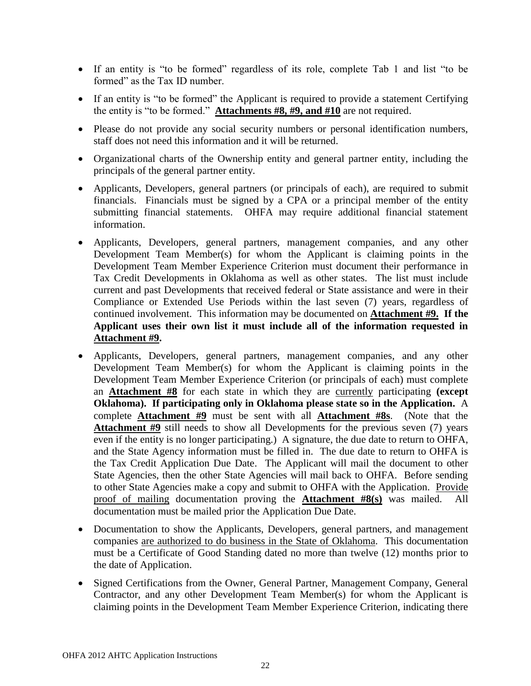- If an entity is "to be formed" regardless of its role, complete Tab 1 and list "to be formed" as the Tax ID number.
- If an entity is "to be formed" the Applicant is required to provide a statement Certifying the entity is "to be formed." **Attachments #8, #9, and #10** are not required.
- Please do not provide any social security numbers or personal identification numbers, staff does not need this information and it will be returned.
- Organizational charts of the Ownership entity and general partner entity, including the principals of the general partner entity.
- Applicants, Developers, general partners (or principals of each), are required to submit financials. Financials must be signed by a CPA or a principal member of the entity submitting financial statements. OHFA may require additional financial statement information.
- Applicants, Developers, general partners, management companies, and any other Development Team Member(s) for whom the Applicant is claiming points in the Development Team Member Experience Criterion must document their performance in Tax Credit Developments in Oklahoma as well as other states. The list must include current and past Developments that received federal or State assistance and were in their Compliance or Extended Use Periods within the last seven (7) years, regardless of continued involvement. This information may be documented on **Attachment #9. If the Applicant uses their own list it must include all of the information requested in Attachment #9.**
- Applicants, Developers, general partners, management companies, and any other Development Team Member(s) for whom the Applicant is claiming points in the Development Team Member Experience Criterion (or principals of each) must complete an **Attachment #8** for each state in which they are currently participating **(except Oklahoma). If participating only in Oklahoma please state so in the Application.** A complete **Attachment #9** must be sent with all **Attachment #8s**. (Note that the **Attachment #9** still needs to show all Developments for the previous seven (7) years even if the entity is no longer participating.) A signature, the due date to return to OHFA, and the State Agency information must be filled in. The due date to return to OHFA is the Tax Credit Application Due Date. The Applicant will mail the document to other State Agencies, then the other State Agencies will mail back to OHFA. Before sending to other State Agencies make a copy and submit to OHFA with the Application. Provide proof of mailing documentation proving the **Attachment #8(s)** was mailed. All documentation must be mailed prior the Application Due Date.
- Documentation to show the Applicants, Developers, general partners, and management companies are authorized to do business in the State of Oklahoma. This documentation must be a Certificate of Good Standing dated no more than twelve (12) months prior to the date of Application.
- Signed Certifications from the Owner, General Partner, Management Company, General Contractor, and any other Development Team Member(s) for whom the Applicant is claiming points in the Development Team Member Experience Criterion, indicating there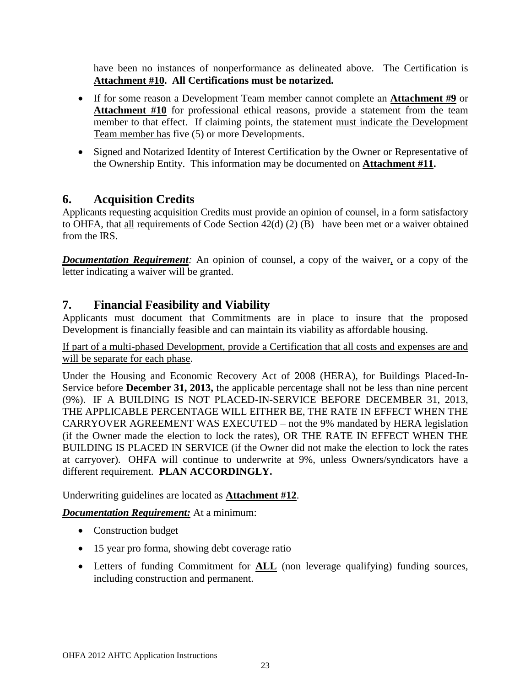have been no instances of nonperformance as delineated above. The Certification is **Attachment #10. All Certifications must be notarized.**

- If for some reason a Development Team member cannot complete an **Attachment #9** or **Attachment #10** for professional ethical reasons, provide a statement from the team member to that effect. If claiming points, the statement must indicate the Development Team member has five (5) or more Developments.
- Signed and Notarized Identity of Interest Certification by the Owner or Representative of the Ownership Entity. This information may be documented on **Attachment #11.**

# <span id="page-22-0"></span>**6. Acquisition Credits**

Applicants requesting acquisition Credits must provide an opinion of counsel, in a form satisfactory to OHFA, that all requirements of Code Section 42(d) (2) (B) have been met or a waiver obtained from the IRS.

*Documentation Requirement:* An opinion of counsel, a copy of the waiver, or a copy of the letter indicating a waiver will be granted.

# <span id="page-22-1"></span>**7. Financial Feasibility and Viability**

Applicants must document that Commitments are in place to insure that the proposed Development is financially feasible and can maintain its viability as affordable housing.

If part of a multi-phased Development, provide a Certification that all costs and expenses are and will be separate for each phase.

Under the Housing and Economic Recovery Act of 2008 (HERA), for Buildings Placed-In-Service before **December 31, 2013,** the applicable percentage shall not be less than nine percent (9%). IF A BUILDING IS NOT PLACED-IN-SERVICE BEFORE DECEMBER 31, 2013, THE APPLICABLE PERCENTAGE WILL EITHER BE, THE RATE IN EFFECT WHEN THE CARRYOVER AGREEMENT WAS EXECUTED – not the 9% mandated by HERA legislation (if the Owner made the election to lock the rates), OR THE RATE IN EFFECT WHEN THE BUILDING IS PLACED IN SERVICE (if the Owner did not make the election to lock the rates at carryover). OHFA will continue to underwrite at 9%, unless Owners/syndicators have a different requirement. **PLAN ACCORDINGLY.**

Underwriting guidelines are located as **Attachment #12**.

*Documentation Requirement:* At a minimum:

- Construction budget
- 15 year pro forma, showing debt coverage ratio
- Letters of funding Commitment for **ALL** (non leverage qualifying) funding sources, including construction and permanent.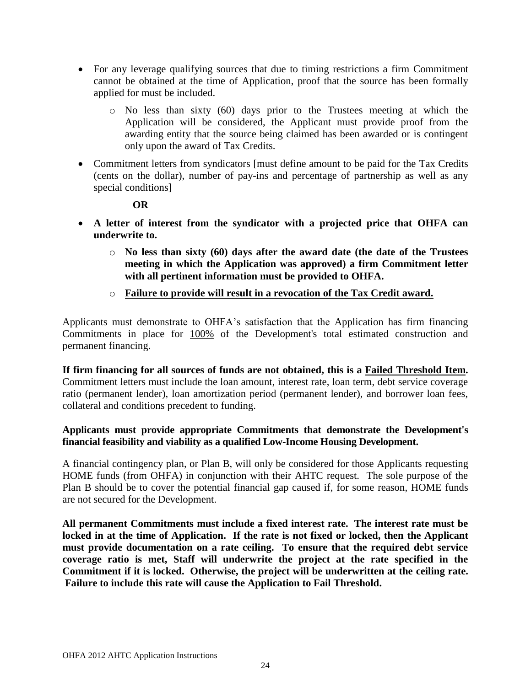- For any leverage qualifying sources that due to timing restrictions a firm Commitment cannot be obtained at the time of Application, proof that the source has been formally applied for must be included.
	- o No less than sixty (60) days prior to the Trustees meeting at which the Application will be considered, the Applicant must provide proof from the awarding entity that the source being claimed has been awarded or is contingent only upon the award of Tax Credits.
- Commitment letters from syndicators [must define amount to be paid for the Tax Credits (cents on the dollar), number of pay-ins and percentage of partnership as well as any special conditions]

#### **OR**

- **A letter of interest from the syndicator with a projected price that OHFA can underwrite to.** 
	- o **No less than sixty (60) days after the award date (the date of the Trustees meeting in which the Application was approved) a firm Commitment letter with all pertinent information must be provided to OHFA.**
	- o **Failure to provide will result in a revocation of the Tax Credit award.**

Applicants must demonstrate to OHFA's satisfaction that the Application has firm financing Commitments in place for 100% of the Development's total estimated construction and permanent financing.

**If firm financing for all sources of funds are not obtained, this is a Failed Threshold Item.**  Commitment letters must include the loan amount, interest rate, loan term, debt service coverage ratio (permanent lender), loan amortization period (permanent lender), and borrower loan fees, collateral and conditions precedent to funding.

#### **Applicants must provide appropriate Commitments that demonstrate the Development's financial feasibility and viability as a qualified Low-Income Housing Development.**

A financial contingency plan, or Plan B, will only be considered for those Applicants requesting HOME funds (from OHFA) in conjunction with their AHTC request. The sole purpose of the Plan B should be to cover the potential financial gap caused if, for some reason, HOME funds are not secured for the Development.

**All permanent Commitments must include a fixed interest rate. The interest rate must be locked in at the time of Application. If the rate is not fixed or locked, then the Applicant must provide documentation on a rate ceiling. To ensure that the required debt service coverage ratio is met, Staff will underwrite the project at the rate specified in the Commitment if it is locked. Otherwise, the project will be underwritten at the ceiling rate. Failure to include this rate will cause the Application to Fail Threshold.**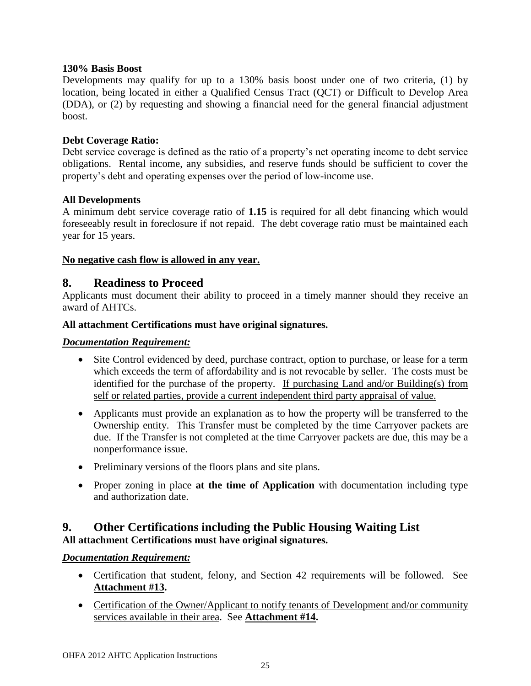#### **130% Basis Boost**

Developments may qualify for up to a 130% basis boost under one of two criteria, (1) by location, being located in either a Qualified Census Tract (QCT) or Difficult to Develop Area (DDA), or (2) by requesting and showing a financial need for the general financial adjustment boost.

#### **Debt Coverage Ratio:**

Debt service coverage is defined as the ratio of a property's net operating income to debt service obligations. Rental income, any subsidies, and reserve funds should be sufficient to cover the property's debt and operating expenses over the period of low-income use.

#### **All Developments**

A minimum debt service coverage ratio of **1.15** is required for all debt financing which would foreseeably result in foreclosure if not repaid. The debt coverage ratio must be maintained each year for 15 years.

#### **No negative cash flow is allowed in any year.**

## <span id="page-24-0"></span>**8. Readiness to Proceed**

Applicants must document their ability to proceed in a timely manner should they receive an award of AHTCs.

#### **All attachment Certifications must have original signatures.**

#### *Documentation Requirement:*

- Site Control evidenced by deed, purchase contract, option to purchase, or lease for a term which exceeds the term of affordability and is not revocable by seller. The costs must be identified for the purchase of the property. If purchasing Land and/or Building(s) from self or related parties, provide a current independent third party appraisal of value.
- Applicants must provide an explanation as to how the property will be transferred to the Ownership entity. This Transfer must be completed by the time Carryover packets are due. If the Transfer is not completed at the time Carryover packets are due, this may be a nonperformance issue.
- Preliminary versions of the floors plans and site plans.
- Proper zoning in place **at the time of Application** with documentation including type and authorization date.

## <span id="page-24-1"></span>**9. Other Certifications including the Public Housing Waiting List All attachment Certifications must have original signatures.**

## *Documentation Requirement:*

- Certification that student, felony, and Section 42 requirements will be followed. See **Attachment #13.**
- Certification of the Owner/Applicant to notify tenants of Development and/or community services available in their area. See **Attachment #14.**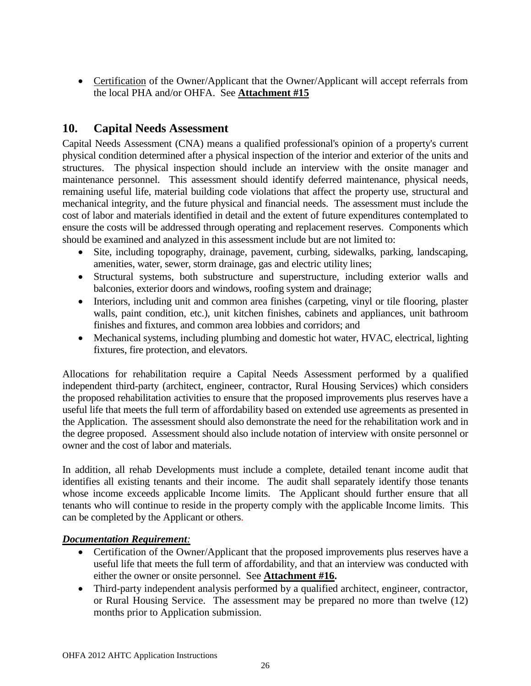• Certification of the Owner/Applicant that the Owner/Applicant will accept referrals from the local PHA and/or OHFA. See **Attachment #15**

# <span id="page-25-0"></span>**10. Capital Needs Assessment**

Capital Needs Assessment (CNA) means a qualified professional's opinion of a property's current physical condition determined after a physical inspection of the interior and exterior of the units and structures. The physical inspection should include an interview with the onsite manager and maintenance personnel. This assessment should identify deferred maintenance, physical needs, remaining useful life, material building code violations that affect the property use, structural and mechanical integrity, and the future physical and financial needs. The assessment must include the cost of labor and materials identified in detail and the extent of future expenditures contemplated to ensure the costs will be addressed through operating and replacement reserves. Components which should be examined and analyzed in this assessment include but are not limited to:

- Site, including topography, drainage, pavement, curbing, sidewalks, parking, landscaping, amenities, water, sewer, storm drainage, gas and electric utility lines;
- Structural systems, both substructure and superstructure, including exterior walls and balconies, exterior doors and windows, roofing system and drainage;
- Interiors, including unit and common area finishes (carpeting, vinyl or tile flooring, plaster walls, paint condition, etc.), unit kitchen finishes, cabinets and appliances, unit bathroom finishes and fixtures, and common area lobbies and corridors; and
- Mechanical systems, including plumbing and domestic hot water, HVAC, electrical, lighting fixtures, fire protection, and elevators.

Allocations for rehabilitation require a Capital Needs Assessment performed by a qualified independent third-party (architect, engineer, contractor, Rural Housing Services) which considers the proposed rehabilitation activities to ensure that the proposed improvements plus reserves have a useful life that meets the full term of affordability based on extended use agreements as presented in the Application. The assessment should also demonstrate the need for the rehabilitation work and in the degree proposed. Assessment should also include notation of interview with onsite personnel or owner and the cost of labor and materials.

In addition, all rehab Developments must include a complete, detailed tenant income audit that identifies all existing tenants and their income. The audit shall separately identify those tenants whose income exceeds applicable Income limits. The Applicant should further ensure that all tenants who will continue to reside in the property comply with the applicable Income limits. This can be completed by the Applicant or others.

## *Documentation Requirement:*

- Certification of the Owner/Applicant that the proposed improvements plus reserves have a useful life that meets the full term of affordability, and that an interview was conducted with either the owner or onsite personnel. See **Attachment #16.**
- Third-party independent analysis performed by a qualified architect, engineer, contractor, or Rural Housing Service. The assessment may be prepared no more than twelve (12) months prior to Application submission.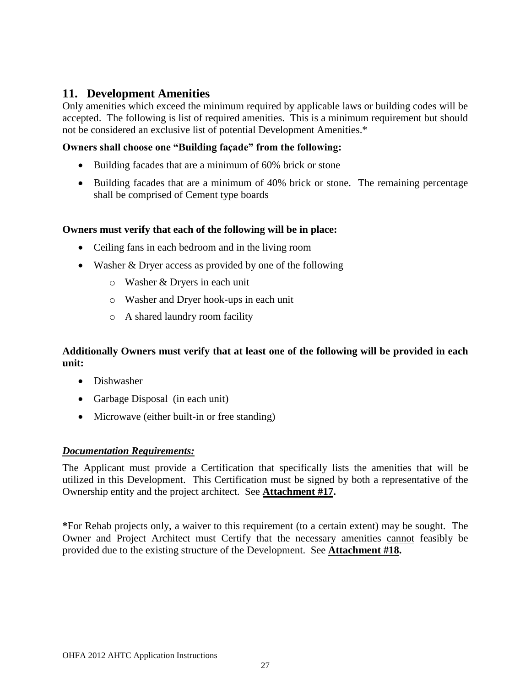## <span id="page-26-0"></span>**11. Development Amenities**

Only amenities which exceed the minimum required by applicable laws or building codes will be accepted. The following is list of required amenities. This is a minimum requirement but should not be considered an exclusive list of potential Development Amenities.\*

#### **Owners shall choose one "Building façade" from the following:**

- Building facades that are a minimum of 60% brick or stone
- Building facades that are a minimum of 40% brick or stone. The remaining percentage shall be comprised of Cement type boards

#### **Owners must verify that each of the following will be in place:**

- Ceiling fans in each bedroom and in the living room
- Washer & Dryer access as provided by one of the following
	- o Washer & Dryers in each unit
	- o Washer and Dryer hook-ups in each unit
	- o A shared laundry room facility

## **Additionally Owners must verify that at least one of the following will be provided in each unit:**

- Dishwasher
- Garbage Disposal (in each unit)
- Microwave (either built-in or free standing)

#### *Documentation Requirements:*

The Applicant must provide a Certification that specifically lists the amenities that will be utilized in this Development. This Certification must be signed by both a representative of the Ownership entity and the project architect. See **Attachment #17.**

**\***For Rehab projects only, a waiver to this requirement (to a certain extent) may be sought. The Owner and Project Architect must Certify that the necessary amenities cannot feasibly be provided due to the existing structure of the Development. See **Attachment #18.**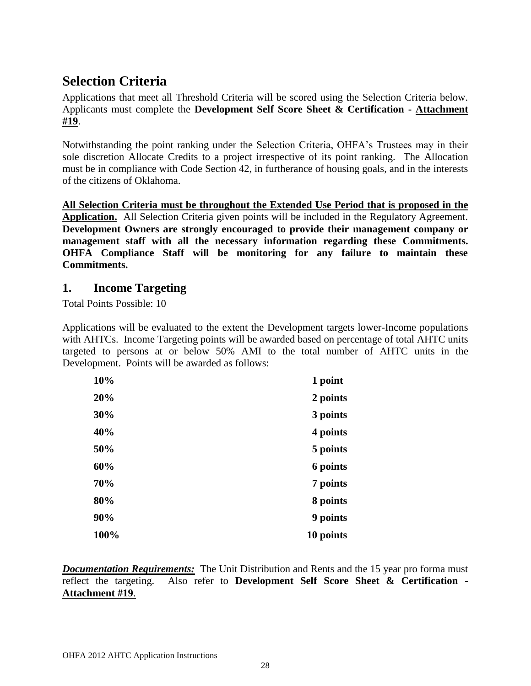# <span id="page-27-0"></span>**Selection Criteria**

Applications that meet all Threshold Criteria will be scored using the Selection Criteria below. Applicants must complete the **Development Self Score Sheet & Certification - Attachment #19**.

Notwithstanding the point ranking under the Selection Criteria, OHFA's Trustees may in their sole discretion Allocate Credits to a project irrespective of its point ranking. The Allocation must be in compliance with Code Section 42, in furtherance of housing goals, and in the interests of the citizens of Oklahoma.

**All Selection Criteria must be throughout the Extended Use Period that is proposed in the Application.** All Selection Criteria given points will be included in the Regulatory Agreement. **Development Owners are strongly encouraged to provide their management company or management staff with all the necessary information regarding these Commitments. OHFA Compliance Staff will be monitoring for any failure to maintain these Commitments.**

## <span id="page-27-1"></span>**1. Income Targeting**

Total Points Possible: 10

Applications will be evaluated to the extent the Development targets lower-Income populations with AHTCs. Income Targeting points will be awarded based on percentage of total AHTC units targeted to persons at or below 50% AMI to the total number of AHTC units in the Development. Points will be awarded as follows:

| 10%  | 1 point   |
|------|-----------|
| 20%  | 2 points  |
| 30%  | 3 points  |
| 40%  | 4 points  |
| 50%  | 5 points  |
| 60%  | 6 points  |
| 70%  | 7 points  |
| 80%  | 8 points  |
| 90%  | 9 points  |
| 100% | 10 points |

*Documentation Requirements:* The Unit Distribution and Rents and the 15 year pro forma must reflect the targeting. Also refer to **Development Self Score Sheet & Certification - Attachment #19**.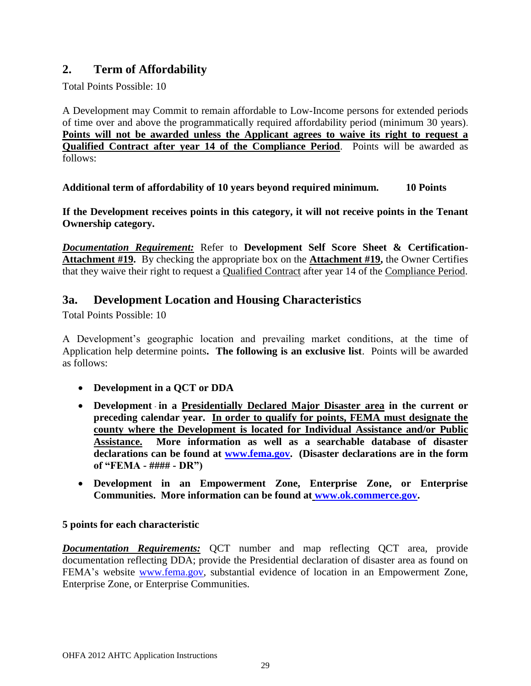# <span id="page-28-0"></span>**2. Term of Affordability**

Total Points Possible: 10

A Development may Commit to remain affordable to Low-Income persons for extended periods of time over and above the programmatically required affordability period (minimum 30 years). **Points will not be awarded unless the Applicant agrees to waive its right to request a Qualified Contract after year 14 of the Compliance Period**. Points will be awarded as follows:

**Additional term of affordability of 10 years beyond required minimum. 10 Points**

**If the Development receives points in this category, it will not receive points in the Tenant Ownership category.**

*Documentation Requirement:* Refer to **Development Self Score Sheet & Certification-Attachment #19.** By checking the appropriate box on the **Attachment #19,** the Owner Certifies that they waive their right to request a Qualified Contract after year 14 of the Compliance Period.

# <span id="page-28-1"></span>**3a. Development Location and Housing Characteristics**

Total Points Possible: 10

A Development's geographic location and prevailing market conditions, at the time of Application help determine points**. The following is an exclusive list**. Points will be awarded as follows:

- **Development in a QCT or DDA**
- **Development in a Presidentially Declared Major Disaster area in the current or preceding calendar year. In order to qualify for points, FEMA must designate the county where the Development is located for Individual Assistance and/or Public Assistance. More information as well as a searchable database of disaster declarations can be found at [www.fema.gov.](http://www.fema.gov/) (Disaster declarations are in the form of "FEMA - #### - DR")**
- **Development in an Empowerment Zone, Enterprise Zone, or Enterprise Communities. More information can be found at [www.ok.commerce.gov.](http://www.ok.commerce.gov/)**

## **5 points for each characteristic**

*Documentation Requirements:* QCT number and map reflecting QCT area, provide documentation reflecting DDA; provide the Presidential declaration of disaster area as found on FEMA's website [www.fema.gov,](http://www.fema.gov/) substantial evidence of location in an Empowerment Zone, Enterprise Zone, or Enterprise Communities.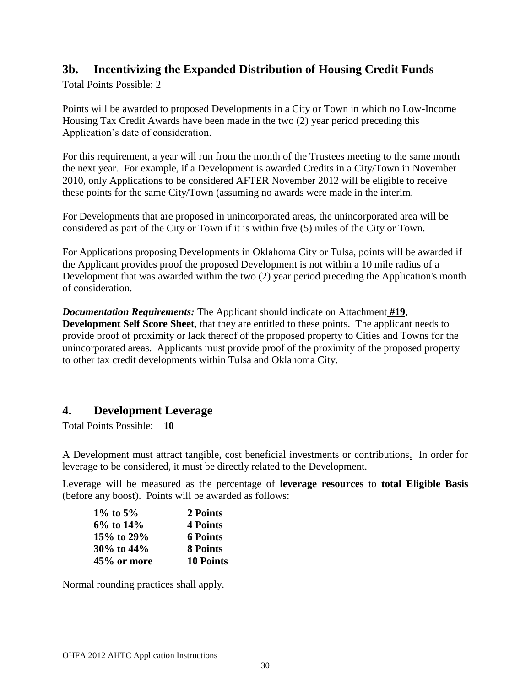# <span id="page-29-0"></span>**3b. Incentivizing the Expanded Distribution of Housing Credit Funds**

Total Points Possible: 2

Points will be awarded to proposed Developments in a City or Town in which no Low-Income Housing Tax Credit Awards have been made in the two (2) year period preceding this Application's date of consideration.

For this requirement, a year will run from the month of the Trustees meeting to the same month the next year. For example, if a Development is awarded Credits in a City/Town in November 2010, only Applications to be considered AFTER November 2012 will be eligible to receive these points for the same City/Town (assuming no awards were made in the interim.

For Developments that are proposed in unincorporated areas, the unincorporated area will be considered as part of the City or Town if it is within five (5) miles of the City or Town.

For Applications proposing Developments in Oklahoma City or Tulsa, points will be awarded if the Applicant provides proof the proposed Development is not within a 10 mile radius of a Development that was awarded within the two (2) year period preceding the Application's month of consideration.

*Documentation Requirements:* The Applicant should indicate on Attachment **#19**, **Development Self Score Sheet**, that they are entitled to these points. The applicant needs to provide proof of proximity or lack thereof of the proposed property to Cities and Towns for the unincorporated areas. Applicants must provide proof of the proximity of the proposed property to other tax credit developments within Tulsa and Oklahoma City.

# <span id="page-29-1"></span>**4. Development Leverage**

Total Points Possible: **10**

A Development must attract tangible, cost beneficial investments or contributions. In order for leverage to be considered, it must be directly related to the Development.

Leverage will be measured as the percentage of **leverage resources** to **total Eligible Basis** (before any boost). Points will be awarded as follows:

| $1\%$ to 5%     | 2 Points         |
|-----------------|------------------|
| $6\%$ to $14\%$ | 4 Points         |
| 15% to 29%      | <b>6 Points</b>  |
| 30% to 44%      | <b>8 Points</b>  |
| 45% or more     | <b>10 Points</b> |

Normal rounding practices shall apply.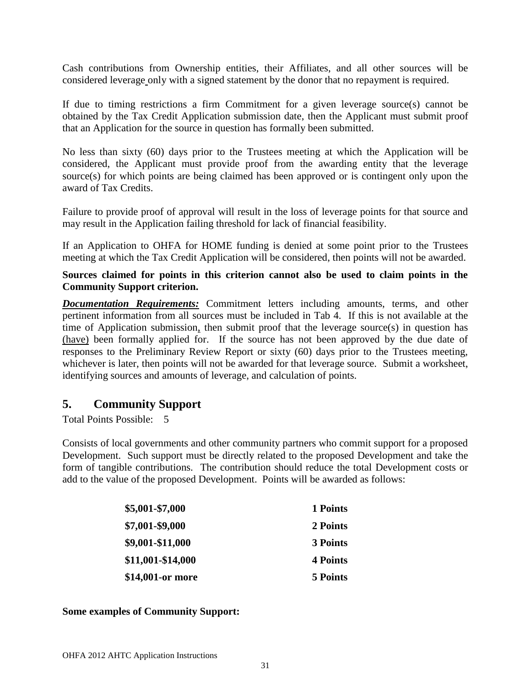Cash contributions from Ownership entities, their Affiliates, and all other sources will be considered leverage only with a signed statement by the donor that no repayment is required.

If due to timing restrictions a firm Commitment for a given leverage source(s) cannot be obtained by the Tax Credit Application submission date, then the Applicant must submit proof that an Application for the source in question has formally been submitted.

No less than sixty (60) days prior to the Trustees meeting at which the Application will be considered, the Applicant must provide proof from the awarding entity that the leverage source(s) for which points are being claimed has been approved or is contingent only upon the award of Tax Credits.

Failure to provide proof of approval will result in the loss of leverage points for that source and may result in the Application failing threshold for lack of financial feasibility.

If an Application to OHFA for HOME funding is denied at some point prior to the Trustees meeting at which the Tax Credit Application will be considered, then points will not be awarded.

**Sources claimed for points in this criterion cannot also be used to claim points in the Community Support criterion.** 

*Documentation Requirements:* Commitment letters including amounts, terms, and other pertinent information from all sources must be included in Tab 4. If this is not available at the time of Application submission, then submit proof that the leverage source(s) in question has (have) been formally applied for. If the source has not been approved by the due date of responses to the Preliminary Review Report or sixty (60) days prior to the Trustees meeting, whichever is later, then points will not be awarded for that leverage source. Submit a worksheet, identifying sources and amounts of leverage, and calculation of points.

# <span id="page-30-0"></span>**5. Community Support**

Total Points Possible: 5

Consists of local governments and other community partners who commit support for a proposed Development. Such support must be directly related to the proposed Development and take the form of tangible contributions. The contribution should reduce the total Development costs or add to the value of the proposed Development. Points will be awarded as follows:

| \$5,001-\$7,000   | 1 Points |
|-------------------|----------|
| \$7,001-\$9,000   | 2 Points |
| \$9,001-\$11,000  | 3 Points |
| \$11,001-\$14,000 | 4 Points |
| \$14,001-or more  | 5 Points |

## **Some examples of Community Support:**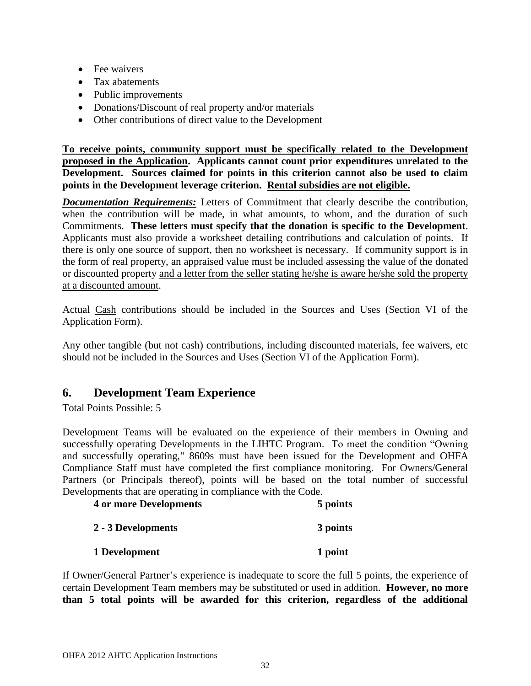- Fee waivers
- Tax abatements
- Public improvements
- Donations/Discount of real property and/or materials
- Other contributions of direct value to the Development

**To receive points, community support must be specifically related to the Development proposed in the Application. Applicants cannot count prior expenditures unrelated to the Development. Sources claimed for points in this criterion cannot also be used to claim points in the Development leverage criterion. Rental subsidies are not eligible.**

*Documentation Requirements:* Letters of Commitment that clearly describe the contribution, when the contribution will be made, in what amounts, to whom, and the duration of such Commitments. **These letters must specify that the donation is specific to the Development**. Applicants must also provide a worksheet detailing contributions and calculation of points. If there is only one source of support, then no worksheet is necessary. If community support is in the form of real property, an appraised value must be included assessing the value of the donated or discounted property and a letter from the seller stating he/she is aware he/she sold the property at a discounted amount.

Actual Cash contributions should be included in the Sources and Uses (Section VI of the Application Form).

Any other tangible (but not cash) contributions, including discounted materials, fee waivers, etc should not be included in the Sources and Uses (Section VI of the Application Form).

# <span id="page-31-0"></span>**6. Development Team Experience**

Total Points Possible: 5

Development Teams will be evaluated on the experience of their members in Owning and successfully operating Developments in the LIHTC Program. To meet the condition "Owning and successfully operating," 8609s must have been issued for the Development and OHFA Compliance Staff must have completed the first compliance monitoring. For Owners/General Partners (or Principals thereof), points will be based on the total number of successful Developments that are operating in compliance with the Code.

| <b>4 or more Developments</b> | 5 points |
|-------------------------------|----------|
| 2 - 3 Developments            | 3 points |
| 1 Development                 | 1 point  |

If Owner/General Partner's experience is inadequate to score the full 5 points, the experience of certain Development Team members may be substituted or used in addition. **However, no more than 5 total points will be awarded for this criterion, regardless of the additional**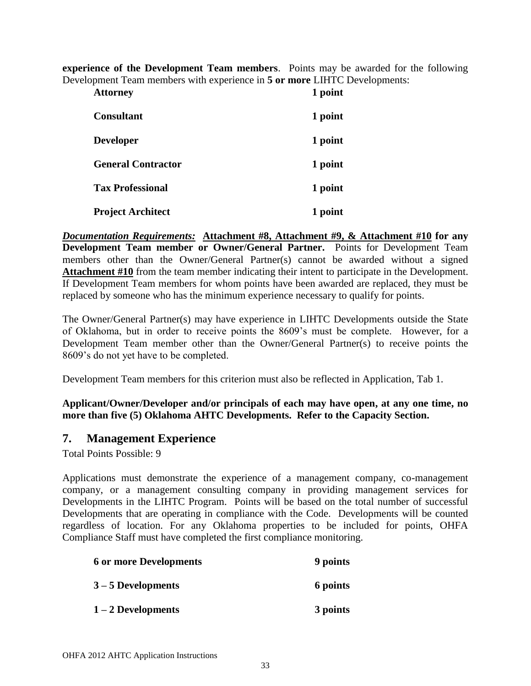**experience of the Development Team members**. Points may be awarded for the following Development Team members with experience in **5 or more** LIHTC Developments:

| <b>Attorney</b>           | 1 point |
|---------------------------|---------|
| <b>Consultant</b>         | 1 point |
| <b>Developer</b>          | 1 point |
| <b>General Contractor</b> | 1 point |
| <b>Tax Professional</b>   | 1 point |
| <b>Project Architect</b>  | 1 point |

*Documentation Requirements:* **Attachment #8, Attachment #9, & Attachment #10 for any Development Team member or Owner/General Partner.** Points for Development Team members other than the Owner/General Partner(s) cannot be awarded without a signed **Attachment #10** from the team member indicating their intent to participate in the Development. If Development Team members for whom points have been awarded are replaced, they must be replaced by someone who has the minimum experience necessary to qualify for points.

The Owner/General Partner(s) may have experience in LIHTC Developments outside the State of Oklahoma, but in order to receive points the 8609's must be complete. However, for a Development Team member other than the Owner/General Partner(s) to receive points the 8609's do not yet have to be completed.

Development Team members for this criterion must also be reflected in Application, Tab 1.

**Applicant/Owner/Developer and/or principals of each may have open, at any one time, no more than five (5) Oklahoma AHTC Developments. Refer to the Capacity Section.** 

## <span id="page-32-0"></span>**7. Management Experience**

Total Points Possible: 9

Applications must demonstrate the experience of a management company, co-management company, or a management consulting company in providing management services for Developments in the LIHTC Program. Points will be based on the total number of successful Developments that are operating in compliance with the Code. Developments will be counted regardless of location. For any Oklahoma properties to be included for points, OHFA Compliance Staff must have completed the first compliance monitoring.

| <b>6 or more Developments</b> | 9 points |
|-------------------------------|----------|
| $3 - 5$ Developments          | 6 points |
| $1 - 2$ Developments          | 3 points |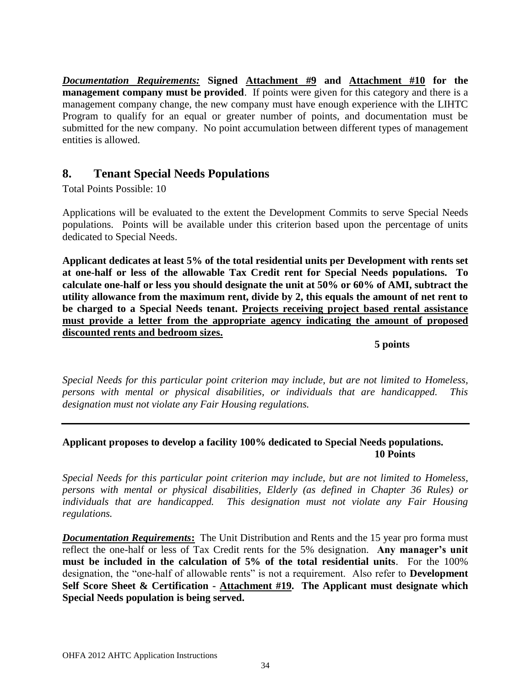*Documentation Requirements:* **Signed Attachment #9 and Attachment #10 for the management company must be provided**. If points were given for this category and there is a management company change, the new company must have enough experience with the LIHTC Program to qualify for an equal or greater number of points, and documentation must be submitted for the new company. No point accumulation between different types of management entities is allowed.

## <span id="page-33-0"></span>**8. Tenant Special Needs Populations**

Total Points Possible: 10

Applications will be evaluated to the extent the Development Commits to serve Special Needs populations. Points will be available under this criterion based upon the percentage of units dedicated to Special Needs.

**Applicant dedicates at least 5% of the total residential units per Development with rents set at one-half or less of the allowable Tax Credit rent for Special Needs populations. To calculate one-half or less you should designate the unit at 50% or 60% of AMI, subtract the utility allowance from the maximum rent, divide by 2, this equals the amount of net rent to be charged to a Special Needs tenant. Projects receiving project based rental assistance must provide a letter from the appropriate agency indicating the amount of proposed discounted rents and bedroom sizes.** 

**5 points**

*Special Needs for this particular point criterion may include, but are not limited to Homeless, persons with mental or physical disabilities, or individuals that are handicapped. This designation must not violate any Fair Housing regulations.*

## **Applicant proposes to develop a facility 100% dedicated to Special Needs populations. 10 Points**

*Special Needs for this particular point criterion may include, but are not limited to Homeless, persons with mental or physical disabilities, Elderly (as defined in Chapter 36 Rules) or individuals that are handicapped. This designation must not violate any Fair Housing regulations.*

*Documentation Requirements*: The Unit Distribution and Rents and the 15 year pro forma must reflect the one-half or less of Tax Credit rents for the 5% designation. **Any manager's unit must be included in the calculation of 5% of the total residential units**. For the 100% designation, the "one-half of allowable rents" is not a requirement. Also refer to **Development Self Score Sheet & Certification - Attachment #19. The Applicant must designate which Special Needs population is being served.**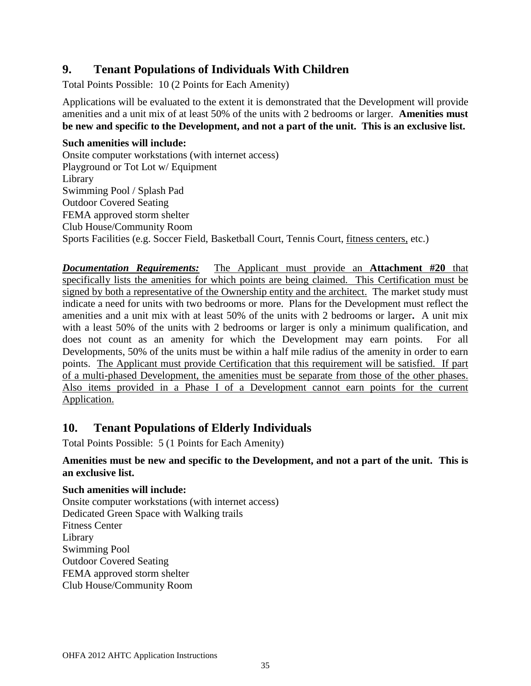# <span id="page-34-0"></span>**9. Tenant Populations of Individuals With Children**

Total Points Possible: 10 (2 Points for Each Amenity)

Applications will be evaluated to the extent it is demonstrated that the Development will provide amenities and a unit mix of at least 50% of the units with 2 bedrooms or larger. **Amenities must be new and specific to the Development, and not a part of the unit. This is an exclusive list.**

#### **Such amenities will include:**

Onsite computer workstations (with internet access) Playground or Tot Lot w/ Equipment Library Swimming Pool / Splash Pad Outdoor Covered Seating FEMA approved storm shelter Club House/Community Room Sports Facilities (e.g. Soccer Field, Basketball Court, Tennis Court, fitness centers, etc.)

*Documentation Requirements:* The Applicant must provide an **Attachment #20** that specifically lists the amenities for which points are being claimed. This Certification must be signed by both a representative of the Ownership entity and the architect. The market study must indicate a need for units with two bedrooms or more. Plans for the Development must reflect the amenities and a unit mix with at least 50% of the units with 2 bedrooms or larger**.** A unit mix with a least 50% of the units with 2 bedrooms or larger is only a minimum qualification, and does not count as an amenity for which the Development may earn points. For all Developments, 50% of the units must be within a half mile radius of the amenity in order to earn points. The Applicant must provide Certification that this requirement will be satisfied. If part of a multi-phased Development, the amenities must be separate from those of the other phases. Also items provided in a Phase I of a Development cannot earn points for the current Application.

# <span id="page-34-1"></span>**10. Tenant Populations of Elderly Individuals**

Total Points Possible: 5 (1 Points for Each Amenity)

## **Amenities must be new and specific to the Development, and not a part of the unit. This is an exclusive list.**

## **Such amenities will include:**

Onsite computer workstations (with internet access) Dedicated Green Space with Walking trails Fitness Center Library Swimming Pool Outdoor Covered Seating FEMA approved storm shelter Club House/Community Room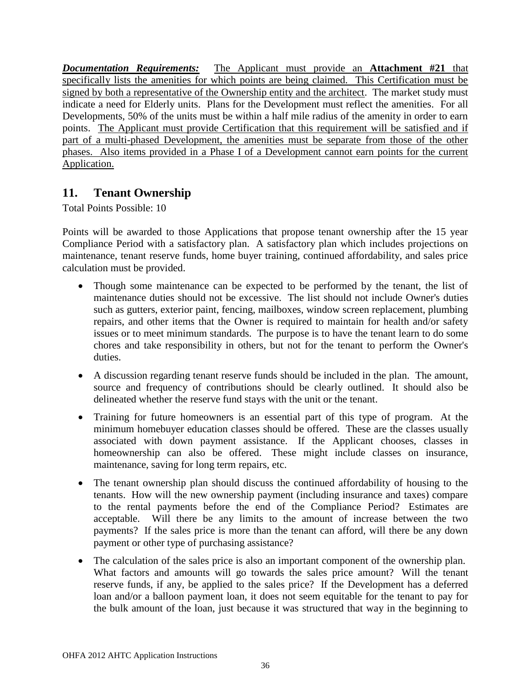*Documentation Requirements:* The Applicant must provide an **Attachment #21** that specifically lists the amenities for which points are being claimed. This Certification must be signed by both a representative of the Ownership entity and the architect. The market study must indicate a need for Elderly units. Plans for the Development must reflect the amenities. For all Developments, 50% of the units must be within a half mile radius of the amenity in order to earn points. The Applicant must provide Certification that this requirement will be satisfied and if part of a multi-phased Development, the amenities must be separate from those of the other phases. Also items provided in a Phase I of a Development cannot earn points for the current Application.

# <span id="page-35-0"></span>**11. Tenant Ownership**

Total Points Possible: 10

Points will be awarded to those Applications that propose tenant ownership after the 15 year Compliance Period with a satisfactory plan. A satisfactory plan which includes projections on maintenance, tenant reserve funds, home buyer training, continued affordability, and sales price calculation must be provided.

- Though some maintenance can be expected to be performed by the tenant, the list of maintenance duties should not be excessive. The list should not include Owner's duties such as gutters, exterior paint, fencing, mailboxes, window screen replacement, plumbing repairs, and other items that the Owner is required to maintain for health and/or safety issues or to meet minimum standards. The purpose is to have the tenant learn to do some chores and take responsibility in others, but not for the tenant to perform the Owner's duties.
- A discussion regarding tenant reserve funds should be included in the plan. The amount, source and frequency of contributions should be clearly outlined. It should also be delineated whether the reserve fund stays with the unit or the tenant.
- Training for future homeowners is an essential part of this type of program. At the minimum homebuyer education classes should be offered. These are the classes usually associated with down payment assistance. If the Applicant chooses, classes in homeownership can also be offered. These might include classes on insurance, maintenance, saving for long term repairs, etc.
- The tenant ownership plan should discuss the continued affordability of housing to the tenants. How will the new ownership payment (including insurance and taxes) compare to the rental payments before the end of the Compliance Period? Estimates are acceptable. Will there be any limits to the amount of increase between the two payments? If the sales price is more than the tenant can afford, will there be any down payment or other type of purchasing assistance?
- The calculation of the sales price is also an important component of the ownership plan. What factors and amounts will go towards the sales price amount? Will the tenant reserve funds, if any, be applied to the sales price? If the Development has a deferred loan and/or a balloon payment loan, it does not seem equitable for the tenant to pay for the bulk amount of the loan, just because it was structured that way in the beginning to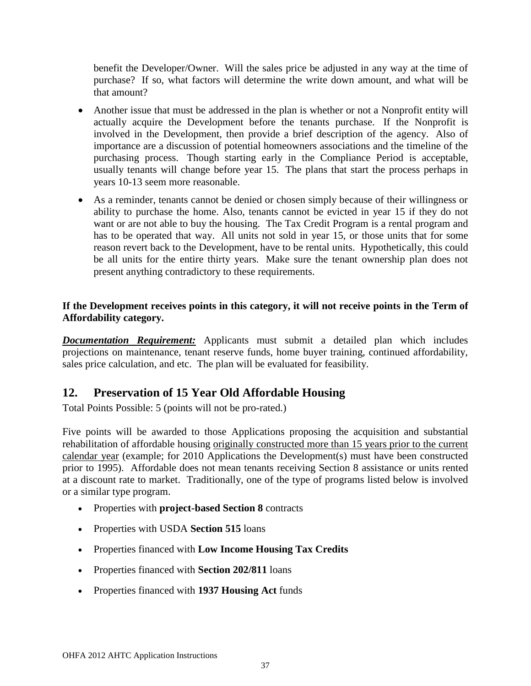benefit the Developer/Owner. Will the sales price be adjusted in any way at the time of purchase? If so, what factors will determine the write down amount, and what will be that amount?

- Another issue that must be addressed in the plan is whether or not a Nonprofit entity will actually acquire the Development before the tenants purchase. If the Nonprofit is involved in the Development, then provide a brief description of the agency. Also of importance are a discussion of potential homeowners associations and the timeline of the purchasing process. Though starting early in the Compliance Period is acceptable, usually tenants will change before year 15. The plans that start the process perhaps in years 10-13 seem more reasonable.
- As a reminder, tenants cannot be denied or chosen simply because of their willingness or ability to purchase the home. Also, tenants cannot be evicted in year 15 if they do not want or are not able to buy the housing. The Tax Credit Program is a rental program and has to be operated that way. All units not sold in year 15, or those units that for some reason revert back to the Development, have to be rental units. Hypothetically, this could be all units for the entire thirty years. Make sure the tenant ownership plan does not present anything contradictory to these requirements.

### **If the Development receives points in this category, it will not receive points in the Term of Affordability category.**

*Documentation Requirement:* Applicants must submit a detailed plan which includes projections on maintenance, tenant reserve funds, home buyer training, continued affordability, sales price calculation, and etc. The plan will be evaluated for feasibility.

# **12. Preservation of 15 Year Old Affordable Housing**

Total Points Possible: 5 (points will not be pro-rated.)

Five points will be awarded to those Applications proposing the acquisition and substantial rehabilitation of affordable housing originally constructed more than 15 years prior to the current calendar year (example; for 2010 Applications the Development(s) must have been constructed prior to 1995). Affordable does not mean tenants receiving Section 8 assistance or units rented at a discount rate to market. Traditionally, one of the type of programs listed below is involved or a similar type program.

- Properties with **project-based Section 8** contracts
- Properties with USDA **Section 515** loans
- Properties financed with **Low Income Housing Tax Credits**
- Properties financed with **Section 202/811** loans
- Properties financed with **1937 Housing Act** funds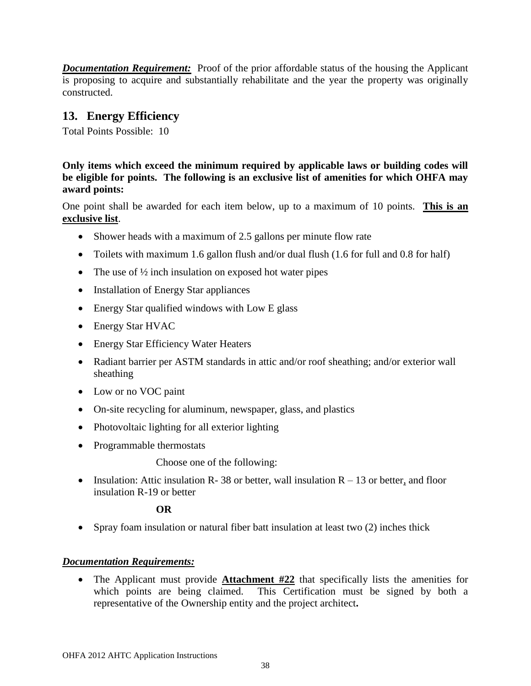*Documentation Requirement:* Proof of the prior affordable status of the housing the Applicant is proposing to acquire and substantially rehabilitate and the year the property was originally constructed.

# **13. Energy Efficiency**

Total Points Possible: 10

**Only items which exceed the minimum required by applicable laws or building codes will be eligible for points. The following is an exclusive list of amenities for which OHFA may award points:**

One point shall be awarded for each item below, up to a maximum of 10 points. **This is an exclusive list**.

- Shower heads with a maximum of 2.5 gallons per minute flow rate
- Toilets with maximum 1.6 gallon flush and/or dual flush (1.6 for full and 0.8 for half)
- The use of  $\frac{1}{2}$  inch insulation on exposed hot water pipes
- Installation of Energy Star appliances
- Energy Star qualified windows with Low E glass
- Energy Star HVAC
- Energy Star Efficiency Water Heaters
- Radiant barrier per ASTM standards in attic and/or roof sheathing; and/or exterior wall sheathing
- Low or no VOC paint
- On-site recycling for aluminum, newspaper, glass, and plastics
- Photovoltaic lighting for all exterior lighting
- Programmable thermostats

Choose one of the following:

• Insulation: Attic insulation R- 38 or better, wall insulation  $R - 13$  or better, and floor insulation R-19 or better

### **OR**

Spray foam insulation or natural fiber batt insulation at least two (2) inches thick

### *Documentation Requirements:*

 The Applicant must provide **Attachment #22** that specifically lists the amenities for which points are being claimed. This Certification must be signed by both a representative of the Ownership entity and the project architect**.**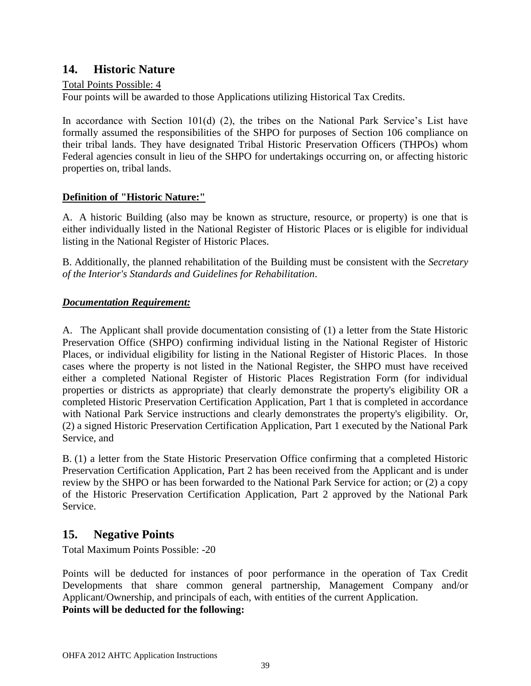# **14. Historic Nature**

#### Total Points Possible: 4

Four points will be awarded to those Applications utilizing Historical Tax Credits.

In accordance with Section 101(d) (2), the tribes on the National Park Service's List have formally assumed the responsibilities of the SHPO for purposes of Section 106 compliance on their tribal lands. They have designated Tribal Historic Preservation Officers (THPOs) whom Federal agencies consult in lieu of the SHPO for undertakings occurring on, or affecting historic properties on, tribal lands.

### **Definition of "Historic Nature:"**

A. A historic Building (also may be known as structure, resource, or property) is one that is either individually listed in the National Register of Historic Places or is eligible for individual listing in the National Register of Historic Places.

B. Additionally, the planned rehabilitation of the Building must be consistent with the *Secretary of the Interior's Standards and Guidelines for Rehabilitation*.

### *Documentation Requirement:*

A. The Applicant shall provide documentation consisting of (1) a letter from the State Historic Preservation Office (SHPO) confirming individual listing in the National Register of Historic Places, or individual eligibility for listing in the National Register of Historic Places. In those cases where the property is not listed in the National Register, the SHPO must have received either a completed National Register of Historic Places Registration Form (for individual properties or districts as appropriate) that clearly demonstrate the property's eligibility OR a completed Historic Preservation Certification Application, Part 1 that is completed in accordance with National Park Service instructions and clearly demonstrates the property's eligibility. Or, (2) a signed Historic Preservation Certification Application, Part 1 executed by the National Park Service, and

B. (1) a letter from the State Historic Preservation Office confirming that a completed Historic Preservation Certification Application, Part 2 has been received from the Applicant and is under review by the SHPO or has been forwarded to the National Park Service for action; or (2) a copy of the Historic Preservation Certification Application, Part 2 approved by the National Park Service.

### **15. Negative Points**

Total Maximum Points Possible: -20

Points will be deducted for instances of poor performance in the operation of Tax Credit Developments that share common general partnership, Management Company and/or Applicant/Ownership, and principals of each, with entities of the current Application. **Points will be deducted for the following:**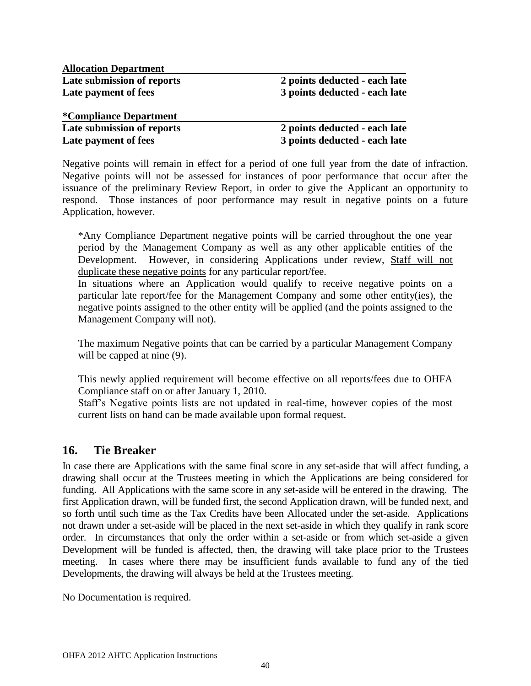**Allocation Department Late submission of reports 2 points deducted - each late Late payment of fees 3 points deducted - each late** 

#### **\*Compliance Department Late submission of reports 2 points deducted - each late Late payment of fees 3 points deducted - each late**

Negative points will remain in effect for a period of one full year from the date of infraction. Negative points will not be assessed for instances of poor performance that occur after the issuance of the preliminary Review Report, in order to give the Applicant an opportunity to respond. Those instances of poor performance may result in negative points on a future Application, however.

\*Any Compliance Department negative points will be carried throughout the one year period by the Management Company as well as any other applicable entities of the Development. However, in considering Applications under review, Staff will not duplicate these negative points for any particular report/fee.

In situations where an Application would qualify to receive negative points on a particular late report/fee for the Management Company and some other entity(ies), the negative points assigned to the other entity will be applied (and the points assigned to the Management Company will not).

The maximum Negative points that can be carried by a particular Management Company will be capped at nine  $(9)$ .

This newly applied requirement will become effective on all reports/fees due to OHFA Compliance staff on or after January 1, 2010.

Staff's Negative points lists are not updated in real-time, however copies of the most current lists on hand can be made available upon formal request.

### **16. Tie Breaker**

In case there are Applications with the same final score in any set-aside that will affect funding, a drawing shall occur at the Trustees meeting in which the Applications are being considered for funding. All Applications with the same score in any set-aside will be entered in the drawing. The first Application drawn, will be funded first, the second Application drawn, will be funded next, and so forth until such time as the Tax Credits have been Allocated under the set-aside. Applications not drawn under a set-aside will be placed in the next set-aside in which they qualify in rank score order. In circumstances that only the order within a set-aside or from which set-aside a given Development will be funded is affected, then, the drawing will take place prior to the Trustees meeting. In cases where there may be insufficient funds available to fund any of the tied Developments, the drawing will always be held at the Trustees meeting.

No Documentation is required.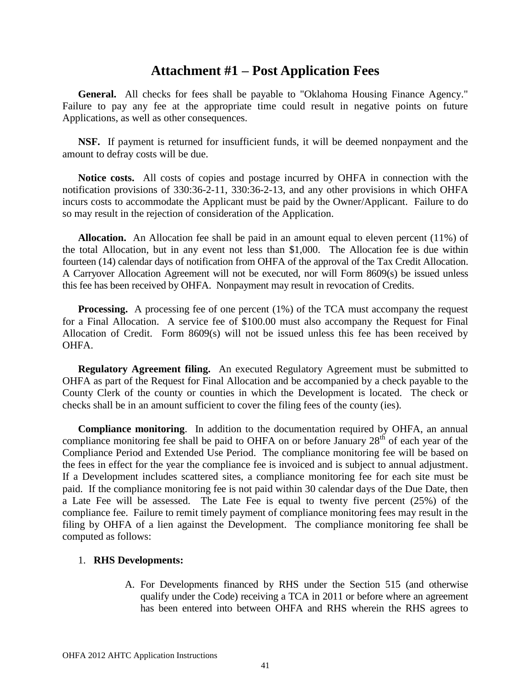# **Attachment #1 – Post Application Fees**

General. All checks for fees shall be payable to "Oklahoma Housing Finance Agency." Failure to pay any fee at the appropriate time could result in negative points on future Applications, as well as other consequences.

**NSF.** If payment is returned for insufficient funds, it will be deemed nonpayment and the amount to defray costs will be due.

**Notice costs.** All costs of copies and postage incurred by OHFA in connection with the notification provisions of 330:36-2-11, 330:36-2-13, and any other provisions in which OHFA incurs costs to accommodate the Applicant must be paid by the Owner/Applicant. Failure to do so may result in the rejection of consideration of the Application.

**Allocation.** An Allocation fee shall be paid in an amount equal to eleven percent (11%) of the total Allocation, but in any event not less than \$1,000. The Allocation fee is due within fourteen (14) calendar days of notification from OHFA of the approval of the Tax Credit Allocation. A Carryover Allocation Agreement will not be executed, nor will Form 8609(s) be issued unless this fee has been received by OHFA. Nonpayment may result in revocation of Credits.

**Processing.** A processing fee of one percent (1%) of the TCA must accompany the request for a Final Allocation. A service fee of \$100.00 must also accompany the Request for Final Allocation of Credit. Form 8609(s) will not be issued unless this fee has been received by OHFA.

**Regulatory Agreement filing.** An executed Regulatory Agreement must be submitted to OHFA as part of the Request for Final Allocation and be accompanied by a check payable to the County Clerk of the county or counties in which the Development is located. The check or checks shall be in an amount sufficient to cover the filing fees of the county (ies).

**Compliance monitoring**. In addition to the documentation required by OHFA, an annual compliance monitoring fee shall be paid to OHFA on or before January  $28<sup>th</sup>$  of each year of the Compliance Period and Extended Use Period. The compliance monitoring fee will be based on the fees in effect for the year the compliance fee is invoiced and is subject to annual adjustment. If a Development includes scattered sites, a compliance monitoring fee for each site must be paid. If the compliance monitoring fee is not paid within 30 calendar days of the Due Date, then a Late Fee will be assessed. The Late Fee is equal to twenty five percent (25%) of the compliance fee. Failure to remit timely payment of compliance monitoring fees may result in the filing by OHFA of a lien against the Development. The compliance monitoring fee shall be computed as follows:

#### 1. **RHS Developments:**

A. For Developments financed by RHS under the Section 515 (and otherwise qualify under the Code) receiving a TCA in 2011 or before where an agreement has been entered into between OHFA and RHS wherein the RHS agrees to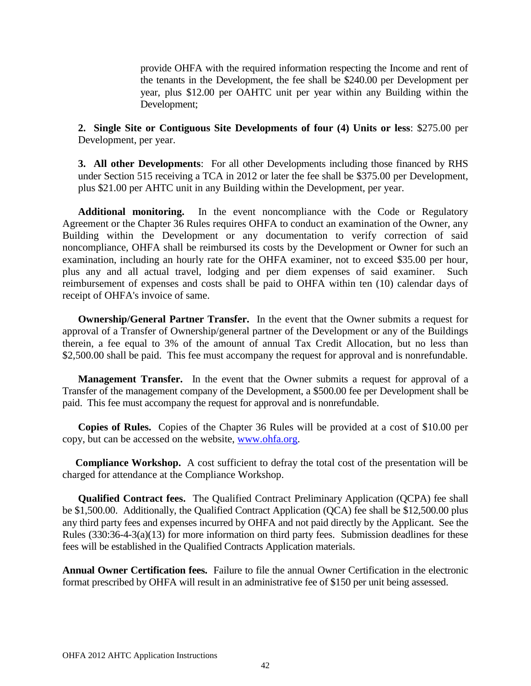provide OHFA with the required information respecting the Income and rent of the tenants in the Development, the fee shall be \$240.00 per Development per year, plus \$12.00 per OAHTC unit per year within any Building within the Development;

**2. Single Site or Contiguous Site Developments of four (4) Units or less**: \$275.00 per Development, per year.

**3. All other Developments**: For all other Developments including those financed by RHS under Section 515 receiving a TCA in 2012 or later the fee shall be \$375.00 per Development, plus \$21.00 per AHTC unit in any Building within the Development, per year.

**Additional monitoring.** In the event noncompliance with the Code or Regulatory Agreement or the Chapter 36 Rules requires OHFA to conduct an examination of the Owner, any Building within the Development or any documentation to verify correction of said noncompliance, OHFA shall be reimbursed its costs by the Development or Owner for such an examination, including an hourly rate for the OHFA examiner, not to exceed \$35.00 per hour, plus any and all actual travel, lodging and per diem expenses of said examiner. Such reimbursement of expenses and costs shall be paid to OHFA within ten (10) calendar days of receipt of OHFA's invoice of same.

**Ownership/General Partner Transfer.** In the event that the Owner submits a request for approval of a Transfer of Ownership/general partner of the Development or any of the Buildings therein, a fee equal to 3% of the amount of annual Tax Credit Allocation, but no less than \$2,500.00 shall be paid. This fee must accompany the request for approval and is nonrefundable.

**Management Transfer.** In the event that the Owner submits a request for approval of a Transfer of the management company of the Development, a \$500.00 fee per Development shall be paid. This fee must accompany the request for approval and is nonrefundable.

**Copies of Rules.** Copies of the Chapter 36 Rules will be provided at a cost of \$10.00 per copy, but can be accessed on the website, [www.ohfa.org.](http://www.ohfa.org/)

**Compliance Workshop.** A cost sufficient to defray the total cost of the presentation will be charged for attendance at the Compliance Workshop.

**Qualified Contract fees.** The Qualified Contract Preliminary Application (QCPA) fee shall be \$1,500.00. Additionally, the Qualified Contract Application (QCA) fee shall be \$12,500.00 plus any third party fees and expenses incurred by OHFA and not paid directly by the Applicant. See the Rules (330:36-4-3(a)(13) for more information on third party fees. Submission deadlines for these fees will be established in the Qualified Contracts Application materials.

**Annual Owner Certification fees.** Failure to file the annual Owner Certification in the electronic format prescribed by OHFA will result in an administrative fee of \$150 per unit being assessed.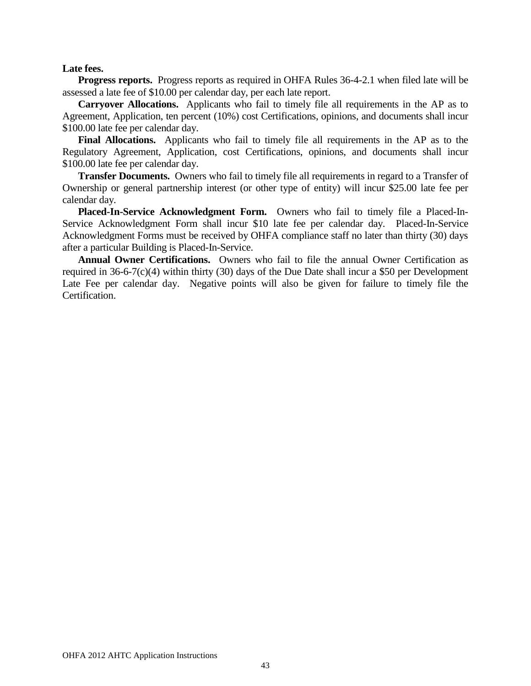#### **Late fees.**

**Progress reports.** Progress reports as required in OHFA Rules 36-4-2.1 when filed late will be assessed a late fee of \$10.00 per calendar day, per each late report.

**Carryover Allocations.** Applicants who fail to timely file all requirements in the AP as to Agreement, Application, ten percent (10%) cost Certifications, opinions, and documents shall incur \$100.00 late fee per calendar day.

**Final Allocations.** Applicants who fail to timely file all requirements in the AP as to the Regulatory Agreement, Application, cost Certifications, opinions, and documents shall incur \$100.00 late fee per calendar day.

**Transfer Documents.** Owners who fail to timely file all requirements in regard to a Transfer of Ownership or general partnership interest (or other type of entity) will incur \$25.00 late fee per calendar day.

**Placed-In-Service Acknowledgment Form.** Owners who fail to timely file a Placed-In-Service Acknowledgment Form shall incur \$10 late fee per calendar day. Placed-In-Service Acknowledgment Forms must be received by OHFA compliance staff no later than thirty (30) days after a particular Building is Placed-In-Service.

**Annual Owner Certifications.** Owners who fail to file the annual Owner Certification as required in 36-6-7(c)(4) within thirty (30) days of the Due Date shall incur a \$50 per Development Late Fee per calendar day. Negative points will also be given for failure to timely file the Certification.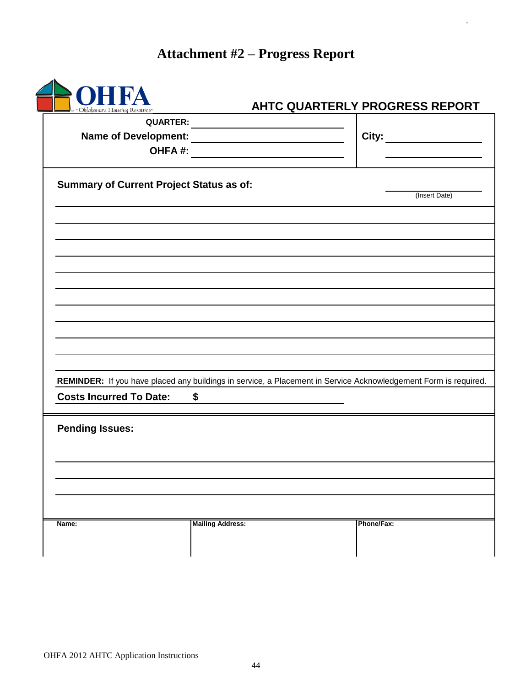# **Attachment #2 – Progress Report**

.

| "Oklahoma's Housing Resource"                   |                         | AHTC QUARTERLY PROGRESS REPORT                                                                                  |  |
|-------------------------------------------------|-------------------------|-----------------------------------------------------------------------------------------------------------------|--|
| QUARTER:                                        |                         |                                                                                                                 |  |
|                                                 |                         |                                                                                                                 |  |
| OHFA#:                                          |                         |                                                                                                                 |  |
| <b>Summary of Current Project Status as of:</b> |                         | (Insert Date)                                                                                                   |  |
|                                                 |                         |                                                                                                                 |  |
|                                                 |                         |                                                                                                                 |  |
|                                                 |                         |                                                                                                                 |  |
|                                                 |                         |                                                                                                                 |  |
|                                                 |                         |                                                                                                                 |  |
|                                                 |                         |                                                                                                                 |  |
|                                                 |                         |                                                                                                                 |  |
|                                                 |                         |                                                                                                                 |  |
|                                                 |                         |                                                                                                                 |  |
|                                                 |                         | REMINDER: If you have placed any buildings in service, a Placement in Service Acknowledgement Form is required. |  |
| <b>Costs Incurred To Date:</b>                  | \$                      |                                                                                                                 |  |
| <b>Pending Issues:</b>                          |                         |                                                                                                                 |  |
|                                                 |                         |                                                                                                                 |  |
|                                                 |                         |                                                                                                                 |  |
|                                                 |                         |                                                                                                                 |  |
| Name:                                           | <b>Mailing Address:</b> | Phone/Fax:                                                                                                      |  |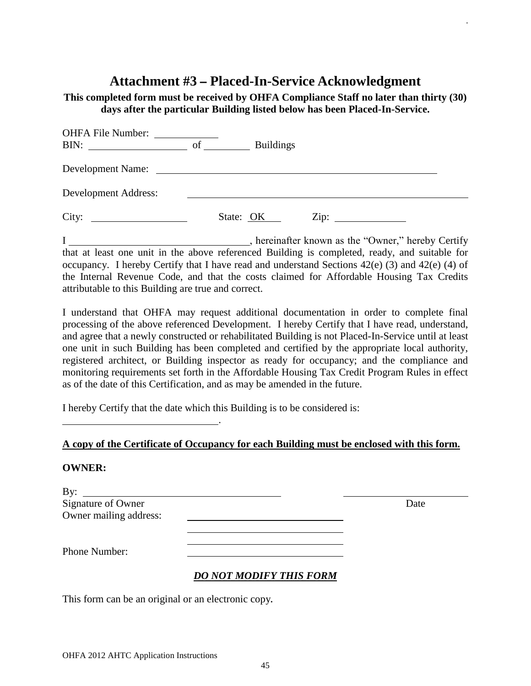# **Attachment #3 – Placed-In-Service Acknowledgment**

.

**This completed form must be received by OHFA Compliance Staff no later than thirty (30) days after the particular Building listed below has been Placed-In-Service.** 

| <b>OHFA File Number:</b><br>BIN:<br><u> 1980 - Andrea Andrew Maria III, populație de la provincia de la provincia de la provincia de la provincia de</u> | of | <b>Buildings</b>                                                                                                  |                 |  |
|----------------------------------------------------------------------------------------------------------------------------------------------------------|----|-------------------------------------------------------------------------------------------------------------------|-----------------|--|
| Development Name:                                                                                                                                        |    | <u> 1980 - Andrea Barbara, poeta espainiar político e a contrar a contrar a contrar a contrar a contrar a con</u> |                 |  |
| Development Address:                                                                                                                                     |    |                                                                                                                   |                 |  |
| City:                                                                                                                                                    |    | State: OK                                                                                                         | $\mathsf{Zip:}$ |  |

I \_\_\_\_\_\_\_\_\_\_\_\_\_\_\_\_\_\_\_\_\_\_\_\_\_\_\_\_\_\_\_\_, hereinafter known as the "Owner," hereby Certify that at least one unit in the above referenced Building is completed, ready, and suitable for occupancy. I hereby Certify that I have read and understand Sections 42(e) (3) and 42(e) (4) of the Internal Revenue Code, and that the costs claimed for Affordable Housing Tax Credits attributable to this Building are true and correct.

I understand that OHFA may request additional documentation in order to complete final processing of the above referenced Development. I hereby Certify that I have read, understand, and agree that a newly constructed or rehabilitated Building is not Placed-In-Service until at least one unit in such Building has been completed and certified by the appropriate local authority, registered architect, or Building inspector as ready for occupancy; and the compliance and monitoring requirements set forth in the Affordable Housing Tax Credit Program Rules in effect as of the date of this Certification, and as may be amended in the future.

I hereby Certify that the date which this Building is to be considered is:

### **A copy of the Certificate of Occupancy for each Building must be enclosed with this form.**

#### **OWNER:**

| By:<br><u> Alexandria de la contrada de la contrada de la contrada de la contrada de la contrada de la contrada de la c</u> |                                |      |
|-----------------------------------------------------------------------------------------------------------------------------|--------------------------------|------|
| Signature of Owner                                                                                                          |                                | Date |
| Owner mailing address:                                                                                                      |                                |      |
|                                                                                                                             |                                |      |
| Phone Number:                                                                                                               |                                |      |
|                                                                                                                             | <b>DO NOT MODIFY THIS FORM</b> |      |

This form can be an original or an electronic copy**.**

<u>. Andrew Marian Maria Maria Maria Ma</u>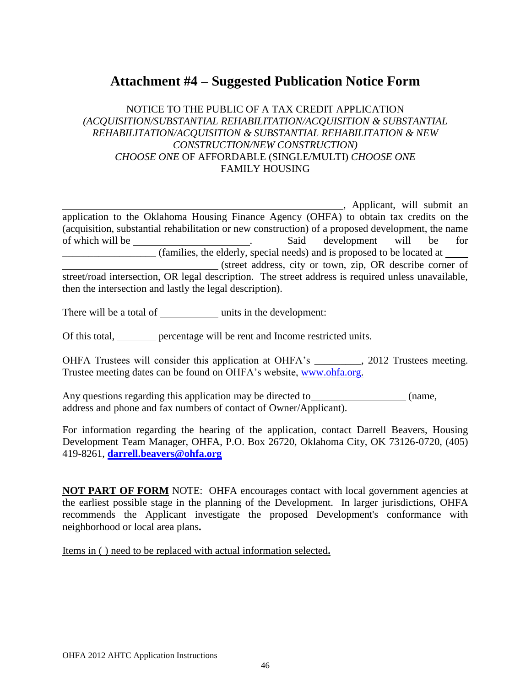# **Attachment #4 – Suggested Publication Notice Form**

### NOTICE TO THE PUBLIC OF A TAX CREDIT APPLICATION *(ACQUISITION/SUBSTANTIAL REHABILITATION/ACQUISITION & SUBSTANTIAL REHABILITATION/ACQUISITION & SUBSTANTIAL REHABILITATION & NEW CONSTRUCTION/NEW CONSTRUCTION) CHOOSE ONE* OF AFFORDABLE (SINGLE/MULTI) *CHOOSE ONE* FAMILY HOUSING

<sub>1</sub>, Applicant, will submit an application to the Oklahoma Housing Finance Agency (OHFA) to obtain tax credits on the (acquisition, substantial rehabilitation or new construction) of a proposed development, the name of which will be <u>said</u> contained by the said development will be for \_\_\_\_\_\_\_\_\_\_\_\_\_\_\_\_\_\_ (families, the elderly, special needs) and is proposed to be located at (street address, city or town, zip, OR describe corner of street/road intersection, OR legal description. The street address is required unless unavailable, then the intersection and lastly the legal description).

There will be a total of units in the development:

Of this total, percentage will be rent and Income restricted units.

OHFA Trustees will consider this application at OHFA's \_\_\_\_\_\_\_\_\_, 2012 Trustees meeting. Trustee meeting dates can be found on OHFA's website, [www.ohfa.org.](http://www.ohfa.org/)

Any questions regarding this application may be directed to (name, address and phone and fax numbers of contact of Owner/Applicant).

For information regarding the hearing of the application, contact Darrell Beavers, Housing Development Team Manager, OHFA, P.O. Box 26720, Oklahoma City, OK 73126-0720, (405) 419-8261, **[darrell.beavers@ohfa.org](mailto:darrell.beavers@ohfa.org)**

**NOT PART OF FORM** NOTE: OHFA encourages contact with local government agencies at the earliest possible stage in the planning of the Development. In larger jurisdictions, OHFA recommends the Applicant investigate the proposed Development's conformance with neighborhood or local area plans**.** 

Items in ( ) need to be replaced with actual information selected**.**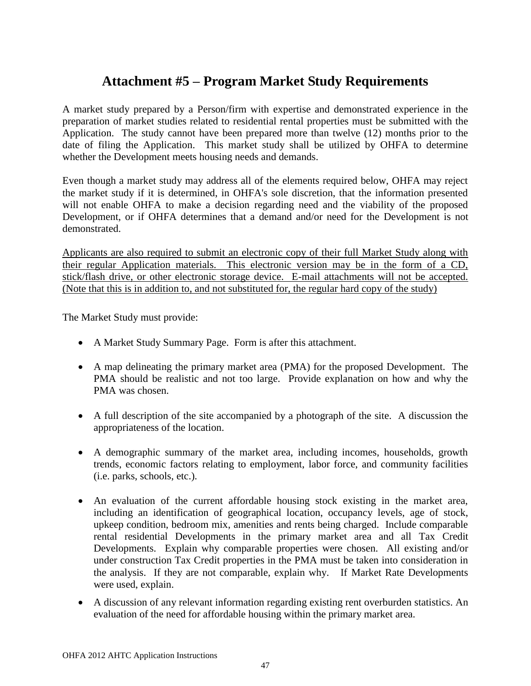# **Attachment #5 – Program Market Study Requirements**

A market study prepared by a Person/firm with expertise and demonstrated experience in the preparation of market studies related to residential rental properties must be submitted with the Application. The study cannot have been prepared more than twelve (12) months prior to the date of filing the Application. This market study shall be utilized by OHFA to determine whether the Development meets housing needs and demands.

Even though a market study may address all of the elements required below, OHFA may reject the market study if it is determined, in OHFA's sole discretion, that the information presented will not enable OHFA to make a decision regarding need and the viability of the proposed Development, or if OHFA determines that a demand and/or need for the Development is not demonstrated.

Applicants are also required to submit an electronic copy of their full Market Study along with their regular Application materials. This electronic version may be in the form of a CD, stick/flash drive, or other electronic storage device. E-mail attachments will not be accepted. (Note that this is in addition to, and not substituted for, the regular hard copy of the study)

The Market Study must provide:

- A Market Study Summary Page. Form is after this attachment.
- A map delineating the primary market area (PMA) for the proposed Development. The PMA should be realistic and not too large. Provide explanation on how and why the PMA was chosen.
- A full description of the site accompanied by a photograph of the site. A discussion the appropriateness of the location.
- A demographic summary of the market area, including incomes, households, growth trends, economic factors relating to employment, labor force, and community facilities (i.e. parks, schools, etc.).
- An evaluation of the current affordable housing stock existing in the market area, including an identification of geographical location, occupancy levels, age of stock, upkeep condition, bedroom mix, amenities and rents being charged. Include comparable rental residential Developments in the primary market area and all Tax Credit Developments. Explain why comparable properties were chosen. All existing and/or under construction Tax Credit properties in the PMA must be taken into consideration in the analysis. If they are not comparable, explain why. If Market Rate Developments were used, explain.
- A discussion of any relevant information regarding existing rent overburden statistics. An evaluation of the need for affordable housing within the primary market area.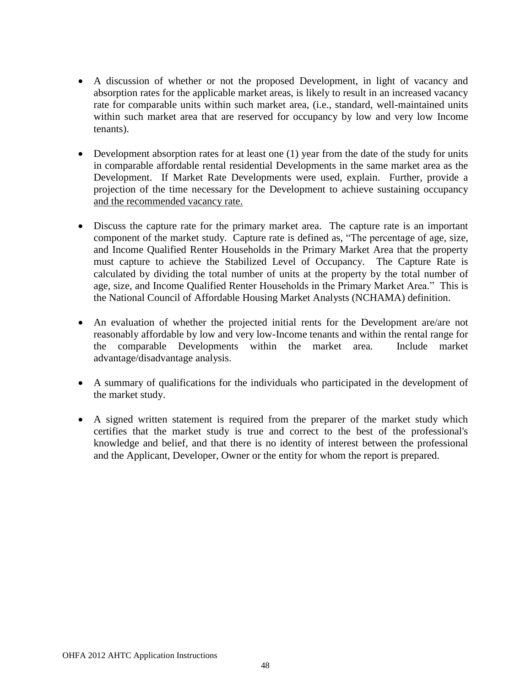- A discussion of whether or not the proposed Development, in light of vacancy and absorption rates for the applicable market areas, is likely to result in an increased vacancy rate for comparable units within such market area, (i.e., standard, well-maintained units within such market area that are reserved for occupancy by low and very low Income tenants).
- Development absorption rates for at least one (1) year from the date of the study for units in comparable affordable rental residential Developments in the same market area as the Development. If Market Rate Developments were used, explain. Further, provide a projection of the time necessary for the Development to achieve sustaining occupancy and the recommended vacancy rate.
- Discuss the capture rate for the primary market area. The capture rate is an important component of the market study. Capture rate is defined as, "The percentage of age, size, and Income Qualified Renter Households in the Primary Market Area that the property must capture to achieve the Stabilized Level of Occupancy. The Capture Rate is calculated by dividing the total number of units at the property by the total number of age, size, and Income Qualified Renter Households in the Primary Market Area." This is the National Council of Affordable Housing Market Analysts (NCHAMA) definition.
- An evaluation of whether the projected initial rents for the Development are/are not reasonably affordable by low and very low-Income tenants and within the rental range for the comparable Developments within the market area. Include market advantage/disadvantage analysis.
- A summary of qualifications for the individuals who participated in the development of the market study.
- A signed written statement is required from the preparer of the market study which certifies that the market study is true and correct to the best of the professional's knowledge and belief, and that there is no identity of interest between the professional and the Applicant, Developer, Owner or the entity for whom the report is prepared.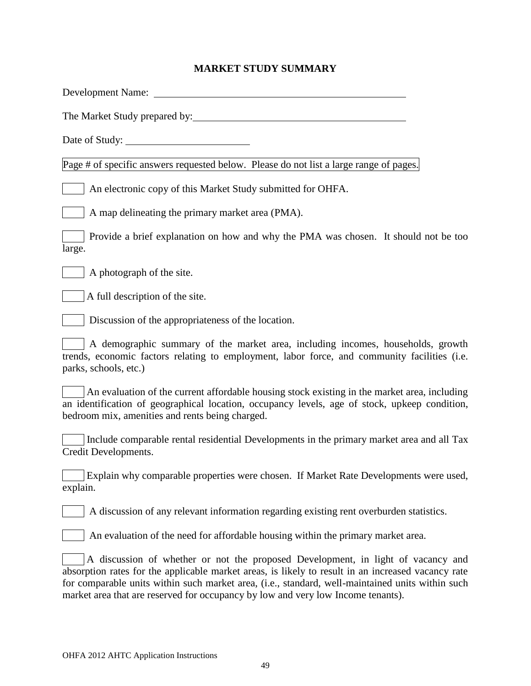# **MARKET STUDY SUMMARY**

| Development Name:                                                                                                                                                                                                                                                                                                                                                              |
|--------------------------------------------------------------------------------------------------------------------------------------------------------------------------------------------------------------------------------------------------------------------------------------------------------------------------------------------------------------------------------|
| The Market Study prepared by:                                                                                                                                                                                                                                                                                                                                                  |
|                                                                                                                                                                                                                                                                                                                                                                                |
| Page # of specific answers requested below. Please do not list a large range of pages.                                                                                                                                                                                                                                                                                         |
| An electronic copy of this Market Study submitted for OHFA.                                                                                                                                                                                                                                                                                                                    |
| A map delineating the primary market area (PMA).                                                                                                                                                                                                                                                                                                                               |
| Provide a brief explanation on how and why the PMA was chosen. It should not be too<br>large.                                                                                                                                                                                                                                                                                  |
| A photograph of the site.                                                                                                                                                                                                                                                                                                                                                      |
| A full description of the site.                                                                                                                                                                                                                                                                                                                                                |
| Discussion of the appropriateness of the location.                                                                                                                                                                                                                                                                                                                             |
| A demographic summary of the market area, including incomes, households, growth<br>trends, economic factors relating to employment, labor force, and community facilities (i.e.<br>parks, schools, etc.)                                                                                                                                                                       |
| An evaluation of the current affordable housing stock existing in the market area, including<br>an identification of geographical location, occupancy levels, age of stock, upkeep condition,<br>bedroom mix, amenities and rents being charged.                                                                                                                               |
| Include comparable rental residential Developments in the primary market area and all Tax<br>Credit Developments.                                                                                                                                                                                                                                                              |
| Explain why comparable properties were chosen. If Market Rate Developments were used,<br>explain.                                                                                                                                                                                                                                                                              |
| A discussion of any relevant information regarding existing rent overburden statistics.                                                                                                                                                                                                                                                                                        |
| An evaluation of the need for affordable housing within the primary market area.                                                                                                                                                                                                                                                                                               |
| A discussion of whether or not the proposed Development, in light of vacancy and<br>absorption rates for the applicable market areas, is likely to result in an increased vacancy rate<br>for comparable units within such market area, (i.e., standard, well-maintained units within such<br>market area that are reserved for occupancy by low and very low Income tenants). |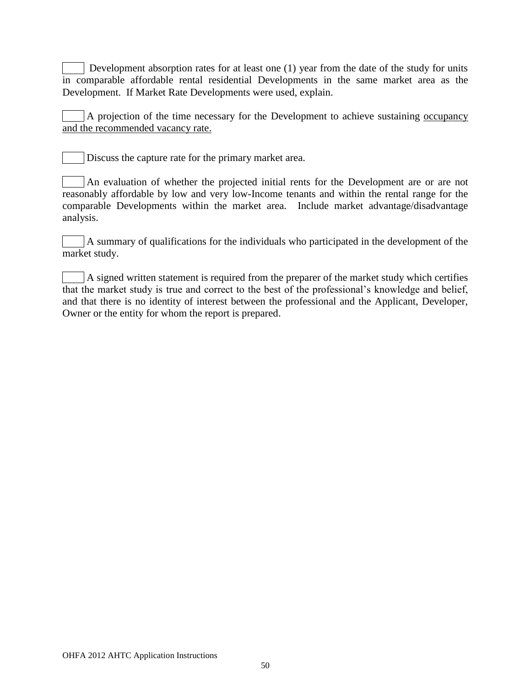Development absorption rates for at least one (1) year from the date of the study for units in comparable affordable rental residential Developments in the same market area as the Development. If Market Rate Developments were used, explain.

A projection of the time necessary for the Development to achieve sustaining occupancy and the recommended vacancy rate.

Discuss the capture rate for the primary market area.

An evaluation of whether the projected initial rents for the Development are or are not reasonably affordable by low and very low-Income tenants and within the rental range for the comparable Developments within the market area. Include market advantage/disadvantage analysis.

A summary of qualifications for the individuals who participated in the development of the market study.

A signed written statement is required from the preparer of the market study which certifies that the market study is true and correct to the best of the professional's knowledge and belief, and that there is no identity of interest between the professional and the Applicant, Developer, Owner or the entity for whom the report is prepared.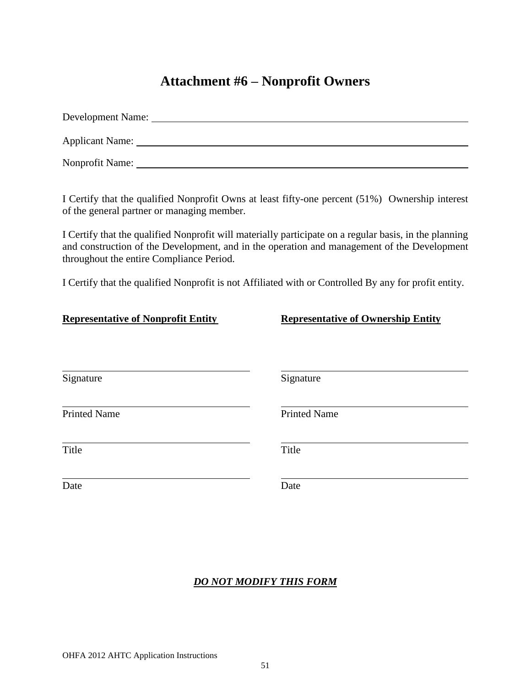# **Attachment #6 – Nonprofit Owners**

| Development Name: |
|-------------------|
| Applicant Name:   |
| Nonprofit Name:   |

I Certify that the qualified Nonprofit Owns at least fifty-one percent (51%) Ownership interest of the general partner or managing member.

I Certify that the qualified Nonprofit will materially participate on a regular basis, in the planning and construction of the Development, and in the operation and management of the Development throughout the entire Compliance Period.

I Certify that the qualified Nonprofit is not Affiliated with or Controlled By any for profit entity.

| <b>Representative of Nonprofit Entity</b> | <b>Representative of Ownership Entity</b> |
|-------------------------------------------|-------------------------------------------|
| Signature                                 | Signature                                 |
| <b>Printed Name</b>                       | <b>Printed Name</b>                       |
| Title                                     | Title                                     |
| Date                                      | Date                                      |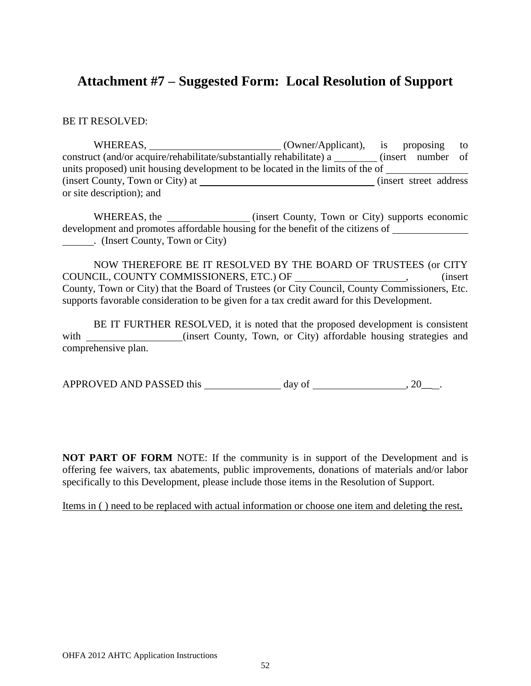# **Attachment #7 – Suggested Form: Local Resolution of Support**

BE IT RESOLVED:

WHEREAS,  $(Owner/Application)$ , is proposing to construct (and/or acquire/rehabilitate/substantially rehabilitate) a \_\_\_\_\_\_\_\_ (insert number of units proposed) unit housing development to be located in the limits of the of (insert County, Town or City) at (insert street address) or site description); and

WHEREAS, the <u>containing</u> (insert County, Town or City) supports economic development and promotes affordable housing for the benefit of the citizens of . (Insert County, Town or City)

NOW THEREFORE BE IT RESOLVED BY THE BOARD OF TRUSTEES (or CITY COUNCIL, COUNTY COMMISSIONERS, ETC.) OF \_\_\_\_\_\_\_\_\_\_\_\_\_\_\_\_\_\_\_\_, (insert County, Town or City) that the Board of Trustees (or City Council, County Commissioners, Etc. supports favorable consideration to be given for a tax credit award for this Development.

BE IT FURTHER RESOLVED, it is noted that the proposed development is consistent with \_\_\_\_\_\_\_\_\_\_\_\_\_\_(insert County, Town, or City) affordable housing strategies and comprehensive plan.

APPROVED AND PASSED this  $\_\_\_\_\_\_\_\$  day of  $\_\_\_\_\_\_\_\_\_\_\_\_\_\_\_\_\_$ .

**NOT PART OF FORM** NOTE: If the community is in support of the Development and is offering fee waivers, tax abatements, public improvements, donations of materials and/or labor specifically to this Development, please include those items in the Resolution of Support.

Items in ( ) need to be replaced with actual information or choose one item and deleting the rest**.**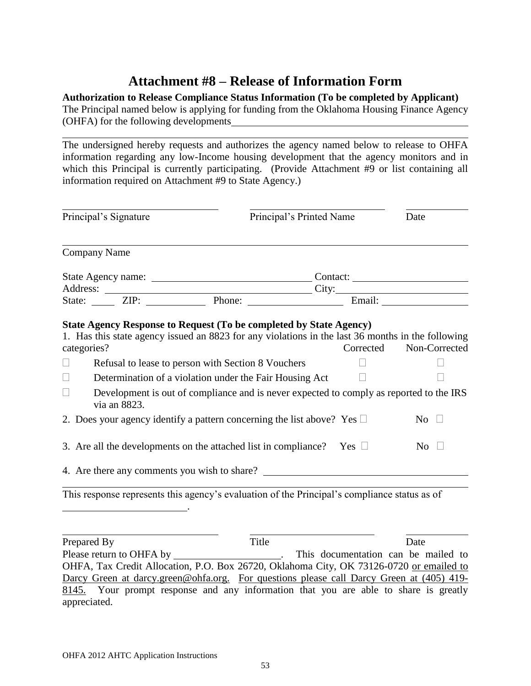# **Attachment #8 – Release of Information Form**

## **Authorization to Release Compliance Status Information (To be completed by Applicant)**

The Principal named below is applying for funding from the Oklahoma Housing Finance Agency (OHFA) for the following developments

The undersigned hereby requests and authorizes the agency named below to release to OHFA information regarding any low-Income housing development that the agency monitors and in which this Principal is currently participating. (Provide Attachment #9 or list containing all information required on Attachment #9 to State Agency.)

| Principal's Signature |                     |                                                                                                                                                                                                                                | Principal's Printed Name |                                                                                                                    |  |
|-----------------------|---------------------|--------------------------------------------------------------------------------------------------------------------------------------------------------------------------------------------------------------------------------|--------------------------|--------------------------------------------------------------------------------------------------------------------|--|
|                       | <b>Company Name</b> |                                                                                                                                                                                                                                |                          |                                                                                                                    |  |
|                       |                     |                                                                                                                                                                                                                                | Contact:                 |                                                                                                                    |  |
|                       |                     |                                                                                                                                                                                                                                |                          |                                                                                                                    |  |
|                       |                     | Address: City: City: City: City: City: City: City: City: City: City: City: City: City: City: City: City: City: City: City: City: City: City: City: City: City: City: City: City: City: City: City: City: City: City: City: Cit |                          |                                                                                                                    |  |
|                       |                     |                                                                                                                                                                                                                                |                          |                                                                                                                    |  |
| $\Box$                | categories?         | Refusal to lease to person with Section 8 Vouchers                                                                                                                                                                             | Corrected                | 1. Has this state agency issued an 8823 for any violations in the last 36 months in the following<br>Non-Corrected |  |
| $\Box$<br>$\Box$      | via an 8823.        | Determination of a violation under the Fair Housing Act<br>Development is out of compliance and is never expected to comply as reported to the IRS                                                                             |                          |                                                                                                                    |  |
|                       |                     | 2. Does your agency identify a pattern concerning the list above? Yes $\Box$                                                                                                                                                   |                          | No $\square$                                                                                                       |  |
|                       |                     | 3. Are all the developments on the attached list in compliance? Yes $\Box$                                                                                                                                                     |                          | $\overline{N_0}$                                                                                                   |  |

This response represents this agency's evaluation of the Principal's compliance status as of .

Prepared By Title Date Please return to OHFA by \_\_\_\_\_\_\_\_\_\_\_\_\_\_\_\_\_\_\_\_\_\_. This documentation can be mailed to OHFA, Tax Credit Allocation, P.O. Box 26720, Oklahoma City, OK 73126-0720 or emailed to Darcy Green at darcy.green@ohfa.org. For questions please call Darcy Green at (405) 419-8145. Your prompt response and any information that you are able to share is greatly appreciated.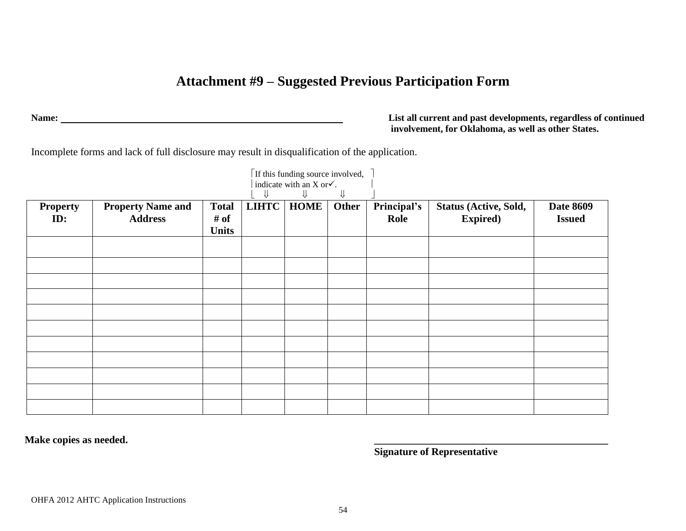# **Attachment #9 – Suggested Previous Participation Form**

**Name: List all current and past developments, regardless of continued involvement, for Oklahoma, as well as other States.**

Incomplete forms and lack of full disclosure may result in disqualification of the application.

|                        |                                            |                      |              |             | ⇓     |                     |                                           |                                   |
|------------------------|--------------------------------------------|----------------------|--------------|-------------|-------|---------------------|-------------------------------------------|-----------------------------------|
| <b>Property</b><br>ID: | <b>Property Name and</b><br><b>Address</b> | <b>Total</b><br># of | <b>LIHTC</b> | <b>HOME</b> | Other | Principal's<br>Role | Status (Active, Sold,<br><b>Expired</b> ) | <b>Date 8609</b><br><b>Issued</b> |
|                        |                                            | <b>Units</b>         |              |             |       |                     |                                           |                                   |
|                        |                                            |                      |              |             |       |                     |                                           |                                   |
|                        |                                            |                      |              |             |       |                     |                                           |                                   |
|                        |                                            |                      |              |             |       |                     |                                           |                                   |
|                        |                                            |                      |              |             |       |                     |                                           |                                   |
|                        |                                            |                      |              |             |       |                     |                                           |                                   |
|                        |                                            |                      |              |             |       |                     |                                           |                                   |
|                        |                                            |                      |              |             |       |                     |                                           |                                   |
|                        |                                            |                      |              |             |       |                     |                                           |                                   |
|                        |                                            |                      |              |             |       |                     |                                           |                                   |
|                        |                                            |                      |              |             |       |                     |                                           |                                   |
|                        |                                            |                      |              |             |       |                     |                                           |                                   |

**Make copies as needed. \_\_\_\_\_\_\_\_\_\_\_\_\_\_\_\_\_\_\_\_\_\_\_\_\_\_\_\_\_\_\_\_\_\_\_\_\_\_\_\_\_\_\_\_\_**

**Signature of Representative**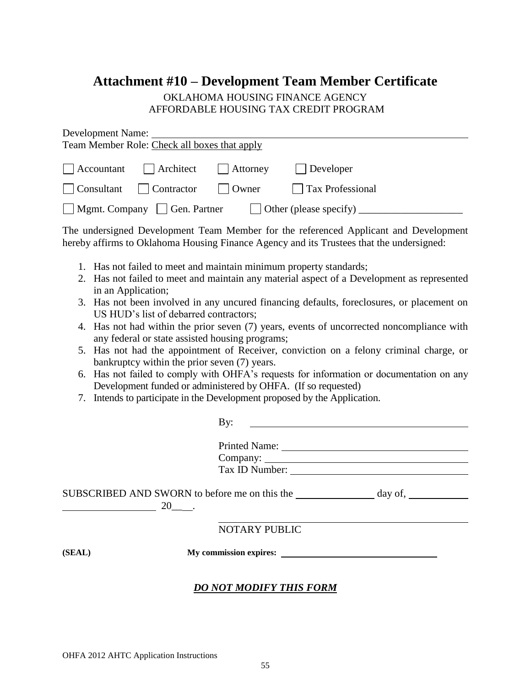# **Attachment #10 – Development Team Member Certificate**

### OKLAHOMA HOUSING FINANCE AGENCY AFFORDABLE HOUSING TAX CREDIT PROGRAM

| Development Name:<br>Team Member Role: Check all boxes that apply                                                  |                                                                                                                                                                                                                                                                                                                                                                                                                                                                                                                                                                                                                                                                                                                                                       |
|--------------------------------------------------------------------------------------------------------------------|-------------------------------------------------------------------------------------------------------------------------------------------------------------------------------------------------------------------------------------------------------------------------------------------------------------------------------------------------------------------------------------------------------------------------------------------------------------------------------------------------------------------------------------------------------------------------------------------------------------------------------------------------------------------------------------------------------------------------------------------------------|
|                                                                                                                    |                                                                                                                                                                                                                                                                                                                                                                                                                                                                                                                                                                                                                                                                                                                                                       |
| Accountant<br>  Architect                                                                                          | $\Box$ Attorney<br>$\Box$ Developer                                                                                                                                                                                                                                                                                                                                                                                                                                                                                                                                                                                                                                                                                                                   |
| Consultant<br>Contractor                                                                                           | Owner<br><b>Tax Professional</b>                                                                                                                                                                                                                                                                                                                                                                                                                                                                                                                                                                                                                                                                                                                      |
| Mgmt. Company Gen. Partner                                                                                         |                                                                                                                                                                                                                                                                                                                                                                                                                                                                                                                                                                                                                                                                                                                                                       |
|                                                                                                                    | The undersigned Development Team Member for the referenced Applicant and Development<br>hereby affirms to Oklahoma Housing Finance Agency and its Trustees that the undersigned:                                                                                                                                                                                                                                                                                                                                                                                                                                                                                                                                                                      |
| in an Application;<br>US HUD's list of debarred contractors;<br>bankruptcy within the prior seven (7) years.<br>7. | 1. Has not failed to meet and maintain minimum property standards;<br>2. Has not failed to meet and maintain any material aspect of a Development as represented<br>3. Has not been involved in any uncured financing defaults, foreclosures, or placement on<br>4. Has not had within the prior seven (7) years, events of uncorrected noncompliance with<br>any federal or state assisted housing programs;<br>5. Has not had the appointment of Receiver, conviction on a felony criminal charge, or<br>6. Has not failed to comply with OHFA's requests for information or documentation on any<br>Development funded or administered by OHFA. (If so requested)<br>Intends to participate in the Development proposed by the Application.<br>By: |
|                                                                                                                    |                                                                                                                                                                                                                                                                                                                                                                                                                                                                                                                                                                                                                                                                                                                                                       |
|                                                                                                                    |                                                                                                                                                                                                                                                                                                                                                                                                                                                                                                                                                                                                                                                                                                                                                       |
|                                                                                                                    |                                                                                                                                                                                                                                                                                                                                                                                                                                                                                                                                                                                                                                                                                                                                                       |
| $20$ .                                                                                                             |                                                                                                                                                                                                                                                                                                                                                                                                                                                                                                                                                                                                                                                                                                                                                       |
|                                                                                                                    | <b>NOTARY PUBLIC</b>                                                                                                                                                                                                                                                                                                                                                                                                                                                                                                                                                                                                                                                                                                                                  |
| (SEAL)                                                                                                             |                                                                                                                                                                                                                                                                                                                                                                                                                                                                                                                                                                                                                                                                                                                                                       |
|                                                                                                                    | <b>DO NOT MODIFY THIS FORM</b>                                                                                                                                                                                                                                                                                                                                                                                                                                                                                                                                                                                                                                                                                                                        |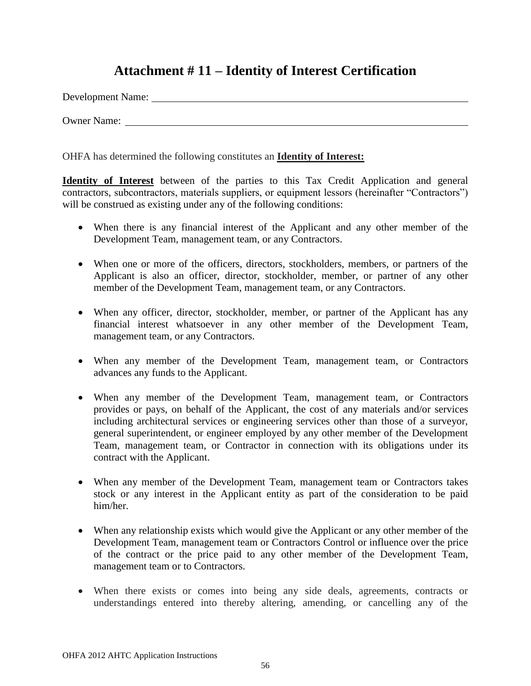# **Attachment # 11 – Identity of Interest Certification**

Development Name:

Owner Name:

OHFA has determined the following constitutes an **Identity of Interest:**

**Identity of Interest** between of the parties to this Tax Credit Application and general contractors, subcontractors, materials suppliers, or equipment lessors (hereinafter "Contractors") will be construed as existing under any of the following conditions:

- When there is any financial interest of the Applicant and any other member of the Development Team, management team, or any Contractors.
- When one or more of the officers, directors, stockholders, members, or partners of the Applicant is also an officer, director, stockholder, member, or partner of any other member of the Development Team, management team, or any Contractors.
- When any officer, director, stockholder, member, or partner of the Applicant has any financial interest whatsoever in any other member of the Development Team, management team, or any Contractors.
- When any member of the Development Team, management team, or Contractors advances any funds to the Applicant.
- When any member of the Development Team, management team, or Contractors provides or pays, on behalf of the Applicant, the cost of any materials and/or services including architectural services or engineering services other than those of a surveyor, general superintendent, or engineer employed by any other member of the Development Team, management team, or Contractor in connection with its obligations under its contract with the Applicant.
- When any member of the Development Team, management team or Contractors takes stock or any interest in the Applicant entity as part of the consideration to be paid him/her.
- When any relationship exists which would give the Applicant or any other member of the Development Team, management team or Contractors Control or influence over the price of the contract or the price paid to any other member of the Development Team, management team or to Contractors.
- When there exists or comes into being any side deals, agreements, contracts or understandings entered into thereby altering, amending, or cancelling any of the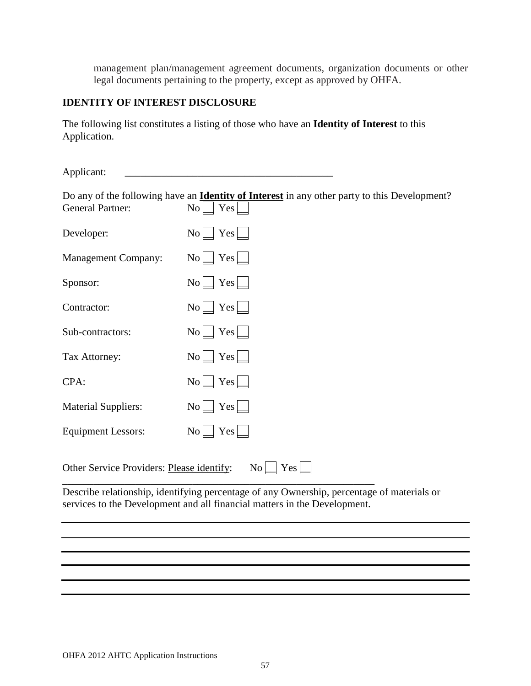management plan/management agreement documents, organization documents or other legal documents pertaining to the property, except as approved by OHFA.

### **IDENTITY OF INTEREST DISCLOSURE**

The following list constitutes a listing of those who have an **Identity of Interest** to this Application.

| Applicant:                                |                                                                                                                                                                         |
|-------------------------------------------|-------------------------------------------------------------------------------------------------------------------------------------------------------------------------|
| <b>General Partner:</b>                   | Do any of the following have an <b>Identity of Interest</b> in any other party to this Development?<br>No<br>Yes                                                        |
| Developer:                                | $No$ $Yes$ $\Box$                                                                                                                                                       |
| <b>Management Company:</b>                | $No \perp Yes \perp$                                                                                                                                                    |
| Sponsor:                                  | $No$ $Yes$ $\Box$                                                                                                                                                       |
| Contractor:                               | $No$ $Yes$ $\Box$                                                                                                                                                       |
| Sub-contractors:                          | $No \bigsqcup Yes \bigsqcup$                                                                                                                                            |
| Tax Attorney:                             | $No$ $Yes$ $\Box$                                                                                                                                                       |
| CPA:                                      | Yes<br>$\overline{N_0}$                                                                                                                                                 |
| <b>Material Suppliers:</b>                | No <sub>l</sub><br>Yes L                                                                                                                                                |
| <b>Equipment Lessors:</b>                 | $No$ $Yes$ $\Box$                                                                                                                                                       |
| Other Service Providers: Please identify: | No<br>Yes                                                                                                                                                               |
|                                           | Describe relationship, identifying percentage of any Ownership, percentage of materials or<br>services to the Development and all financial matters in the Development. |
|                                           |                                                                                                                                                                         |
|                                           |                                                                                                                                                                         |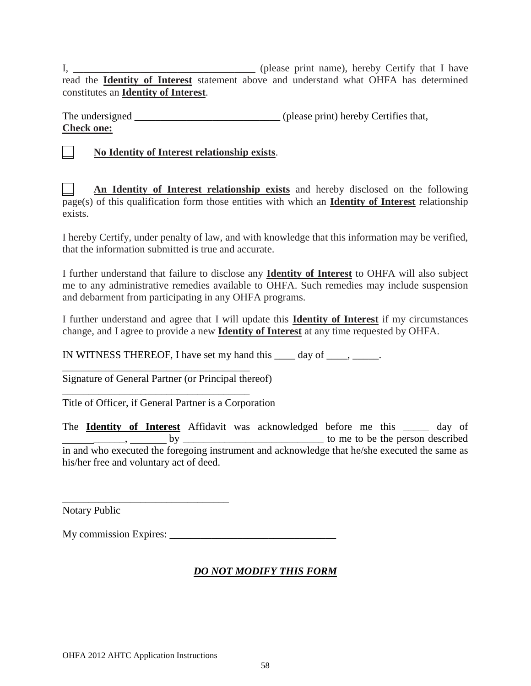I*,* \_\_\_\_\_\_\_\_\_\_\_\_\_\_\_\_\_\_\_\_\_\_\_\_\_\_\_\_\_\_\_\_\_\_\_ (please print name), hereby Certify that I have read the **Identity of Interest** statement above and understand what OHFA has determined constitutes an **Identity of Interest**.

The undersigned (please print) hereby Certifies that, **Check one:**

\_\_ **No Identity of Interest relationship exists**.

\_\_ **An Identity of Interest relationship exists** and hereby disclosed on the following page(s) of this qualification form those entities with which an **Identity of Interest** relationship exists.

I hereby Certify, under penalty of law, and with knowledge that this information may be verified, that the information submitted is true and accurate.

I further understand that failure to disclose any **Identity of Interest** to OHFA will also subject me to any administrative remedies available to OHFA. Such remedies may include suspension and debarment from participating in any OHFA programs.

I further understand and agree that I will update this **Identity of Interest** if my circumstances change, and I agree to provide a new **Identity of Interest** at any time requested by OHFA.

IN WITNESS THEREOF, I have set my hand this \_\_\_\_ day of \_\_\_\_, \_\_\_\_\_.

\_\_\_\_\_\_\_\_\_\_\_\_\_\_\_\_\_\_\_\_\_\_\_\_\_\_\_\_\_\_\_\_\_\_\_\_ Signature of General Partner (or Principal thereof)

\_\_\_\_\_\_\_\_\_\_\_\_\_\_\_\_\_\_\_\_\_\_\_\_\_\_\_\_\_\_\_\_\_\_\_\_

\_\_\_\_\_\_\_\_\_\_\_\_\_\_\_\_\_\_\_\_\_\_\_\_\_\_\_\_\_\_\_\_

Title of Officer, if General Partner is a Corporation

The **Identity of Interest** Affidavit was acknowledged before me this \_\_\_\_\_ day of  $\underline{\hspace{1cm}}$ ,  $\underline{\hspace{1cm}}$  by  $\underline{\hspace{1cm}}$ in and who executed the foregoing instrument and acknowledge that he/she executed the same as his/her free and voluntary act of deed.

Notary Public

My commission Expires: \_\_\_\_\_\_\_\_\_\_\_\_\_\_\_\_\_\_\_\_\_\_\_\_\_\_\_\_\_\_\_\_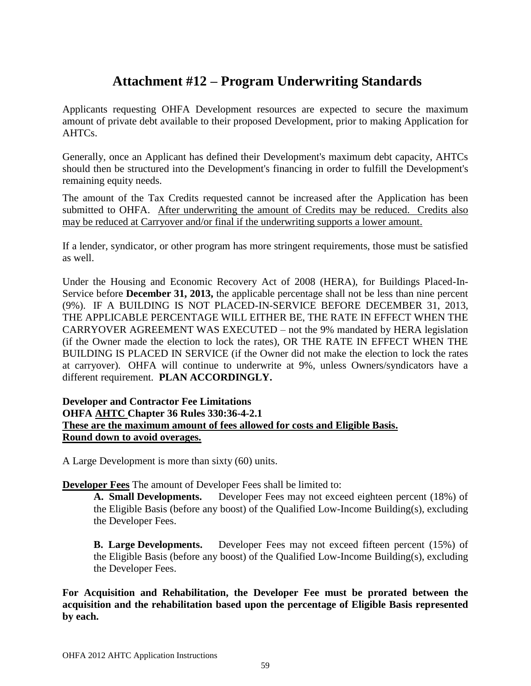# **Attachment #12 – Program Underwriting Standards**

Applicants requesting OHFA Development resources are expected to secure the maximum amount of private debt available to their proposed Development, prior to making Application for AHTCs.

Generally, once an Applicant has defined their Development's maximum debt capacity, AHTCs should then be structured into the Development's financing in order to fulfill the Development's remaining equity needs.

The amount of the Tax Credits requested cannot be increased after the Application has been submitted to OHFA. After underwriting the amount of Credits may be reduced. Credits also may be reduced at Carryover and/or final if the underwriting supports a lower amount.

If a lender, syndicator, or other program has more stringent requirements, those must be satisfied as well.

Under the Housing and Economic Recovery Act of 2008 (HERA), for Buildings Placed-In-Service before **December 31, 2013,** the applicable percentage shall not be less than nine percent (9%). IF A BUILDING IS NOT PLACED-IN-SERVICE BEFORE DECEMBER 31, 2013, THE APPLICABLE PERCENTAGE WILL EITHER BE, THE RATE IN EFFECT WHEN THE CARRYOVER AGREEMENT WAS EXECUTED – not the 9% mandated by HERA legislation (if the Owner made the election to lock the rates), OR THE RATE IN EFFECT WHEN THE BUILDING IS PLACED IN SERVICE (if the Owner did not make the election to lock the rates at carryover). OHFA will continue to underwrite at 9%, unless Owners/syndicators have a different requirement. **PLAN ACCORDINGLY.**

#### **Developer and Contractor Fee Limitations OHFA AHTC Chapter 36 Rules 330:36-4-2.1 These are the maximum amount of fees allowed for costs and Eligible Basis. Round down to avoid overages.**

A Large Development is more than sixty (60) units.

**Developer Fees** The amount of Developer Fees shall be limited to:

**A. Small Developments.** Developer Fees may not exceed eighteen percent (18%) of the Eligible Basis (before any boost) of the Qualified Low-Income Building(s), excluding the Developer Fees.

**B. Large Developments.** Developer Fees may not exceed fifteen percent (15%) of the Eligible Basis (before any boost) of the Qualified Low-Income Building(s), excluding the Developer Fees.

**For Acquisition and Rehabilitation, the Developer Fee must be prorated between the acquisition and the rehabilitation based upon the percentage of Eligible Basis represented by each.**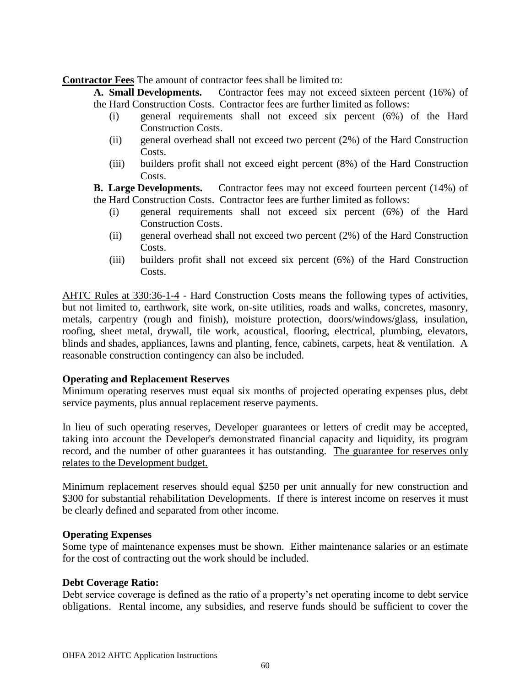**Contractor Fees** The amount of contractor fees shall be limited to:

**A. Small Developments.** Contractor fees may not exceed sixteen percent (16%) of the Hard Construction Costs. Contractor fees are further limited as follows:

- (i) general requirements shall not exceed six percent (6%) of the Hard Construction Costs.
- (ii) general overhead shall not exceed two percent (2%) of the Hard Construction Costs.
- (iii) builders profit shall not exceed eight percent (8%) of the Hard Construction Costs.

**B. Large Developments.** Contractor fees may not exceed fourteen percent (14%) of the Hard Construction Costs. Contractor fees are further limited as follows:

- (i) general requirements shall not exceed six percent (6%) of the Hard Construction Costs.
- (ii) general overhead shall not exceed two percent (2%) of the Hard Construction Costs.
- (iii) builders profit shall not exceed six percent (6%) of the Hard Construction Costs.

AHTC Rules at 330:36-1-4 - Hard Construction Costs means the following types of activities, but not limited to, earthwork, site work, on-site utilities, roads and walks, concretes, masonry, metals, carpentry (rough and finish), moisture protection, doors/windows/glass, insulation, roofing, sheet metal, drywall, tile work, acoustical, flooring, electrical, plumbing, elevators, blinds and shades, appliances, lawns and planting, fence, cabinets, carpets, heat & ventilation. A reasonable construction contingency can also be included.

#### **Operating and Replacement Reserves**

Minimum operating reserves must equal six months of projected operating expenses plus, debt service payments, plus annual replacement reserve payments.

In lieu of such operating reserves, Developer guarantees or letters of credit may be accepted, taking into account the Developer's demonstrated financial capacity and liquidity, its program record, and the number of other guarantees it has outstanding. The guarantee for reserves only relates to the Development budget.

Minimum replacement reserves should equal \$250 per unit annually for new construction and \$300 for substantial rehabilitation Developments. If there is interest income on reserves it must be clearly defined and separated from other income.

#### **Operating Expenses**

Some type of maintenance expenses must be shown. Either maintenance salaries or an estimate for the cost of contracting out the work should be included.

#### **Debt Coverage Ratio:**

Debt service coverage is defined as the ratio of a property's net operating income to debt service obligations. Rental income, any subsidies, and reserve funds should be sufficient to cover the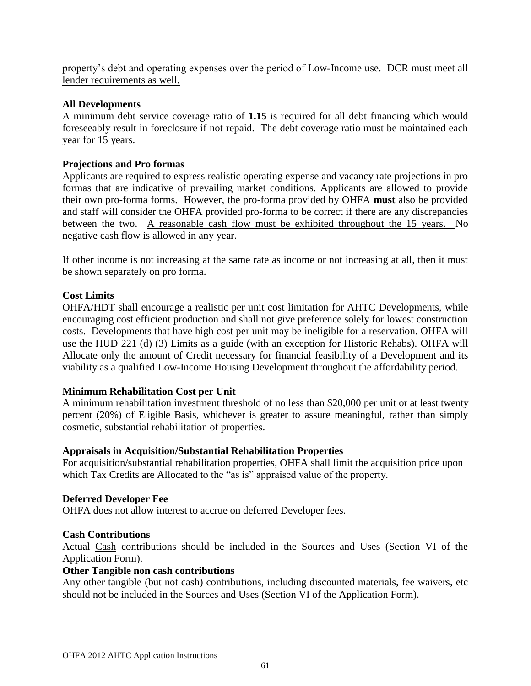property's debt and operating expenses over the period of Low-Income use. DCR must meet all lender requirements as well.

#### **All Developments**

A minimum debt service coverage ratio of **1.15** is required for all debt financing which would foreseeably result in foreclosure if not repaid. The debt coverage ratio must be maintained each year for 15 years.

#### **Projections and Pro formas**

Applicants are required to express realistic operating expense and vacancy rate projections in pro formas that are indicative of prevailing market conditions. Applicants are allowed to provide their own pro-forma forms. However, the pro-forma provided by OHFA **must** also be provided and staff will consider the OHFA provided pro-forma to be correct if there are any discrepancies between the two. A reasonable cash flow must be exhibited throughout the 15 years. No negative cash flow is allowed in any year.

If other income is not increasing at the same rate as income or not increasing at all, then it must be shown separately on pro forma.

#### **Cost Limits**

OHFA/HDT shall encourage a realistic per unit cost limitation for AHTC Developments, while encouraging cost efficient production and shall not give preference solely for lowest construction costs. Developments that have high cost per unit may be ineligible for a reservation. OHFA will use the HUD 221 (d) (3) Limits as a guide (with an exception for Historic Rehabs). OHFA will Allocate only the amount of Credit necessary for financial feasibility of a Development and its viability as a qualified Low-Income Housing Development throughout the affordability period.

#### **Minimum Rehabilitation Cost per Unit**

A minimum rehabilitation investment threshold of no less than \$20,000 per unit or at least twenty percent (20%) of Eligible Basis, whichever is greater to assure meaningful, rather than simply cosmetic, substantial rehabilitation of properties.

#### **Appraisals in Acquisition/Substantial Rehabilitation Properties**

For acquisition/substantial rehabilitation properties, OHFA shall limit the acquisition price upon which Tax Credits are Allocated to the "as is" appraised value of the property.

#### **Deferred Developer Fee**

OHFA does not allow interest to accrue on deferred Developer fees.

#### **Cash Contributions**

Actual Cash contributions should be included in the Sources and Uses (Section VI of the Application Form).

#### **Other Tangible non cash contributions**

Any other tangible (but not cash) contributions, including discounted materials, fee waivers, etc should not be included in the Sources and Uses (Section VI of the Application Form).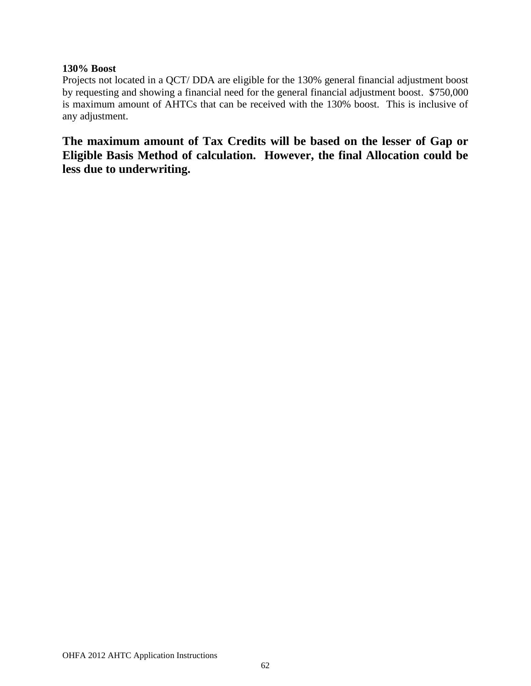#### **130% Boost**

Projects not located in a QCT/ DDA are eligible for the 130% general financial adjustment boost by requesting and showing a financial need for the general financial adjustment boost. \$750,000 is maximum amount of AHTCs that can be received with the 130% boost. This is inclusive of any adjustment.

**The maximum amount of Tax Credits will be based on the lesser of Gap or Eligible Basis Method of calculation. However, the final Allocation could be less due to underwriting.**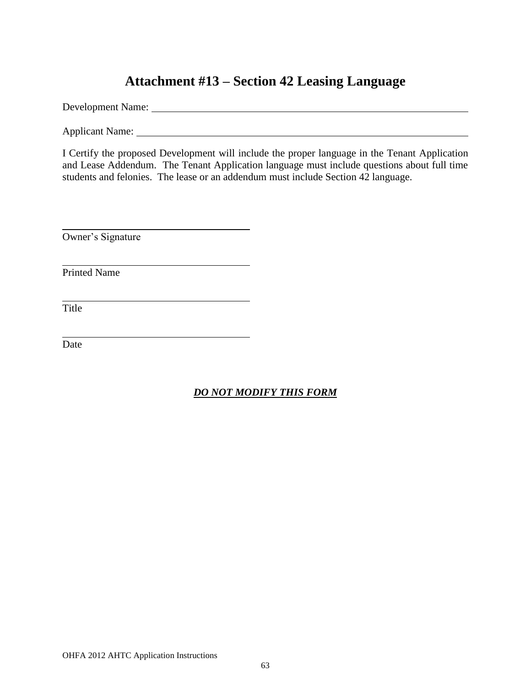# **Attachment #13 – Section 42 Leasing Language**

Development Name:

Applicant Name: 1986. The contract of the contract of the contract of the contract of the contract of the contract of the contract of the contract of the contract of the contract of the contract of the contract of the cont

I Certify the proposed Development will include the proper language in the Tenant Application and Lease Addendum. The Tenant Application language must include questions about full time students and felonies. The lease or an addendum must include Section 42 language.

Owner's Signature

Printed Name

Title

Date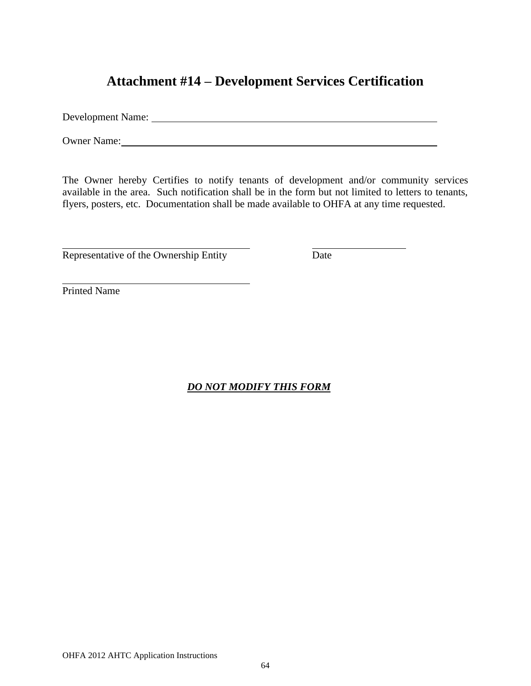# **Attachment #14 – Development Services Certification**

Development Name:

Owner Name:

The Owner hereby Certifies to notify tenants of development and/or community services available in the area. Such notification shall be in the form but not limited to letters to tenants, flyers, posters, etc. Documentation shall be made available to OHFA at any time requested.

Representative of the Ownership Entity Date

Printed Name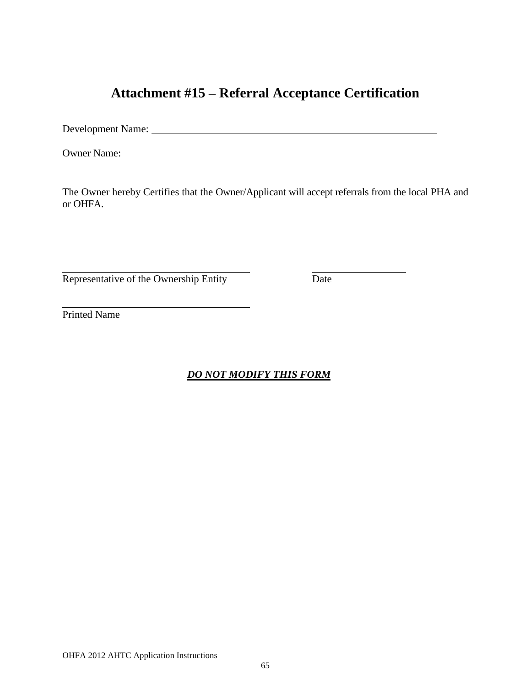# **Attachment #15 – Referral Acceptance Certification**

Development Name:

Owner Name:

The Owner hereby Certifies that the Owner/Applicant will accept referrals from the local PHA and or OHFA.

Representative of the Ownership Entity Date

Printed Name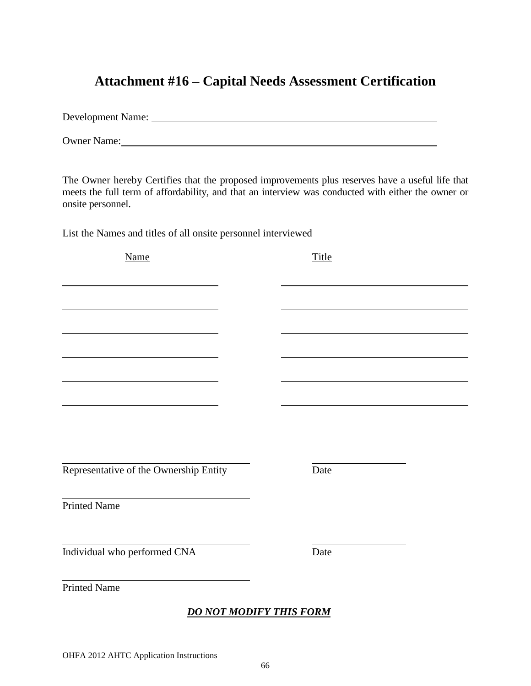# **Attachment #16 – Capital Needs Assessment Certification**

Development Name: Owner Name:

The Owner hereby Certifies that the proposed improvements plus reserves have a useful life that meets the full term of affordability, and that an interview was conducted with either the owner or onsite personnel.

List the Names and titles of all onsite personnel interviewed

Name Title Representative of the Ownership Entity Date Printed Name Individual who performed CNA Date Printed Name *DO NOT MODIFY THIS FORM*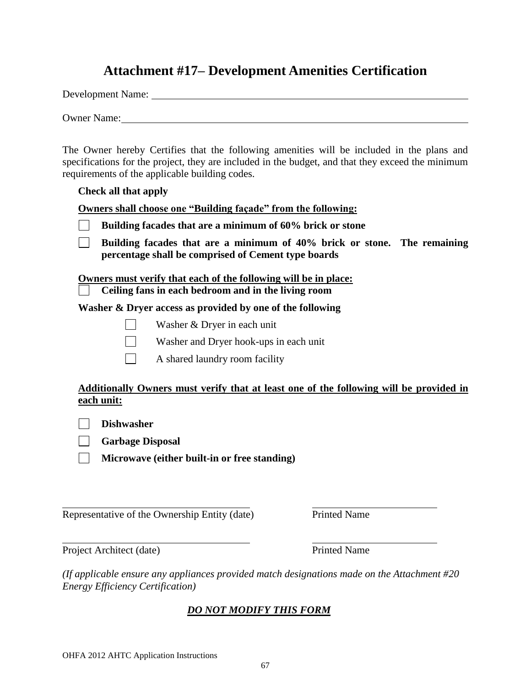# **Attachment #17– Development Amenities Certification**

Development Name:

Owner Name:

The Owner hereby Certifies that the following amenities will be included in the plans and specifications for the project, they are included in the budget, and that they exceed the minimum requirements of the applicable building codes.

#### **Check all that apply**

**Owners shall choose one "Building façade" from the following:**

 $\Box$ **Building facades that are a minimum of 40% brick or stone. The remaining percentage shall be comprised of Cement type boards** 

**Owners must verify that each of the following will be in place:**

 **Ceiling fans in each bedroom and in the living room** 

**Washer & Dryer access as provided by one of the following** 

- Washer & Dryer in each unit
- Washer and Dryer hook-ups in each unit
- A shared laundry room facility

#### **Additionally Owners must verify that at least one of the following will be provided in each unit:**

**Dishwasher**

**Garbage Disposal**

**Microwave (either built-in or free standing)**

Representative of the Ownership Entity (date) Printed Name

Project Architect (date) Printed Name

*(If applicable ensure any appliances provided match designations made on the Attachment #20 Energy Efficiency Certification)*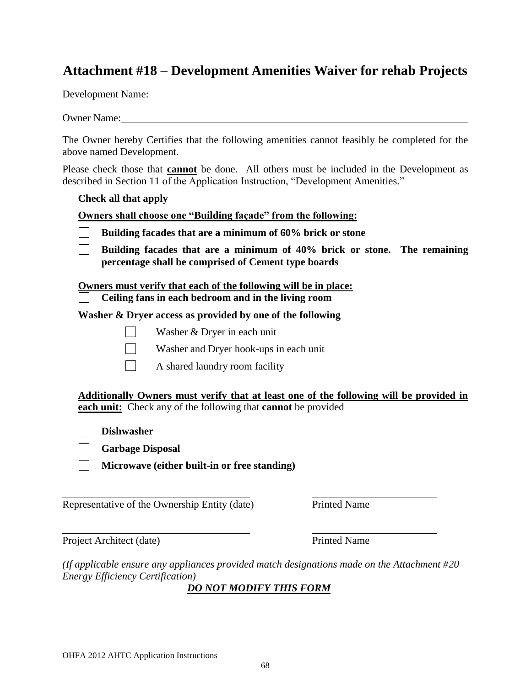# **Attachment #18 – Development Amenities Waiver for rehab Projects**

Development Name:

Owner Name:

The Owner hereby Certifies that the following amenities cannot feasibly be completed for the above named Development.

Please check those that **cannot** be done. All others must be included in the Development as described in Section 11 of the Application Instruction, "Development Amenities."

**Check all that apply**

**Owners shall choose one "Building façade" from the following:**

| Building facades that are a minimum of 60% brick or stone |  |
|-----------------------------------------------------------|--|
|-----------------------------------------------------------|--|

**Building facades that are a minimum of 40% brick or stone. The remaining**   $\mathbf{L}$ **percentage shall be comprised of Cement type boards** 

**Owners must verify that each of the following will be in place:**

 **Ceiling fans in each bedroom and in the living room** 

**Washer & Dryer access as provided by one of the following** 

Washer & Dryer in each unit

Washer and Dryer hook-ups in each unit

A shared laundry room facility

**Additionally Owners must verify that at least one of the following will be provided in each unit:** Check any of the following that **cannot** be provided

**Dishwasher**

**Garbage Disposal**

**Microwave (either built-in or free standing)**

Representative of the Ownership Entity (date) Printed Name

Project Architect (date) Printed Name

*(If applicable ensure any appliances provided match designations made on the Attachment #20 Energy Efficiency Certification)*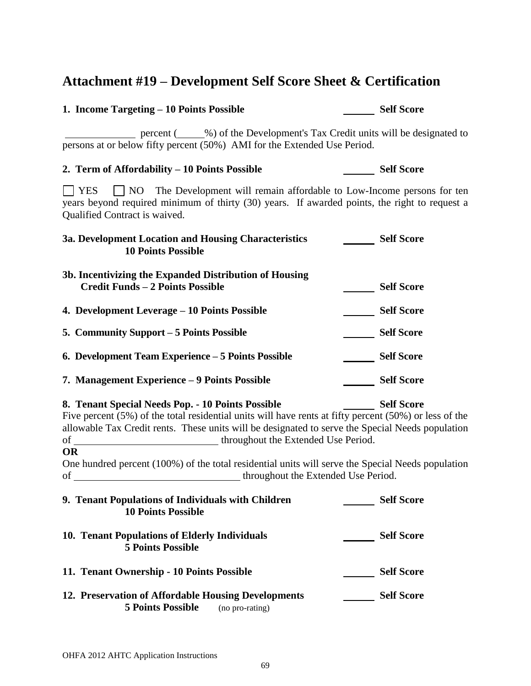# **Attachment #19 – Development Self Score Sheet & Certification**

percent (
with Development's Tax Credit units will be designated to

1. Income Targeting – 10 Points Possible Self Score

| persons at or below fifty percent (50%) AMI for the Extended Use Period.                                                                                                                                                                                                                                                                                                                                     |                   |
|--------------------------------------------------------------------------------------------------------------------------------------------------------------------------------------------------------------------------------------------------------------------------------------------------------------------------------------------------------------------------------------------------------------|-------------------|
| 2. Term of Affordability - 10 Points Possible                                                                                                                                                                                                                                                                                                                                                                | <b>Self Score</b> |
| NO The Development will remain affordable to Low-Income persons for ten<br>$\vert$   YES<br>years beyond required minimum of thirty (30) years. If awarded points, the right to request a<br>Qualified Contract is waived.                                                                                                                                                                                   |                   |
| 3a. Development Location and Housing Characteristics<br><b>10 Points Possible</b>                                                                                                                                                                                                                                                                                                                            | <b>Self Score</b> |
| 3b. Incentivizing the Expanded Distribution of Housing<br><b>Credit Funds - 2 Points Possible</b>                                                                                                                                                                                                                                                                                                            | <b>Self Score</b> |
| 4. Development Leverage – 10 Points Possible                                                                                                                                                                                                                                                                                                                                                                 | Self Score        |
| 5. Community Support – 5 Points Possible                                                                                                                                                                                                                                                                                                                                                                     | Self Score        |
| 6. Development Team Experience – 5 Points Possible                                                                                                                                                                                                                                                                                                                                                           | <b>Self Score</b> |
| 7. Management Experience – 9 Points Possible                                                                                                                                                                                                                                                                                                                                                                 | <b>Self Score</b> |
| 8. Tenant Special Needs Pop. - 10 Points Possible<br><b>Self Score</b><br>Five percent $(5\%)$ of the total residential units will have rents at fifty percent $(50\%)$ or less of the<br>allowable Tax Credit rents. These units will be designated to serve the Special Needs population<br><b>OR</b><br>One hundred percent (100%) of the total residential units will serve the Special Needs population |                   |
| 9. Tenant Populations of Individuals with Children<br><b>10 Points Possible</b>                                                                                                                                                                                                                                                                                                                              | <b>Self Score</b> |
| 10. Tenant Populations of Elderly Individuals<br><b>5 Points Possible</b>                                                                                                                                                                                                                                                                                                                                    | <b>Self Score</b> |
| 11. Tenant Ownership - 10 Points Possible                                                                                                                                                                                                                                                                                                                                                                    | <b>Self Score</b> |

# 12. Preservation of Affordable Housing Developments Self Score **5 Points Possible** (no pro-rating)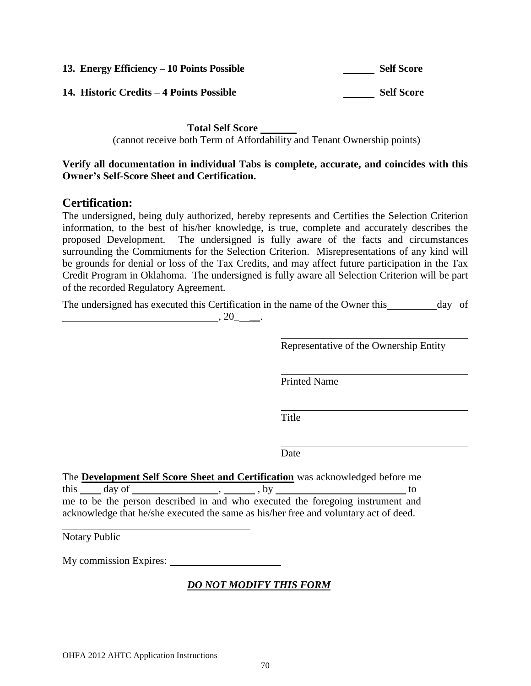| 13. Energy Efficiency – 10 Points Possible | <b>Self Score</b> |
|--------------------------------------------|-------------------|
| 14. Historic Credits – 4 Points Possible   | <b>Self Score</b> |

**Total Self Score** 

(cannot receive both Term of Affordability and Tenant Ownership points)

#### **Verify all documentation in individual Tabs is complete, accurate, and coincides with this Owner's Self-Score Sheet and Certification.**

### **Certification:**

The undersigned, being duly authorized, hereby represents and Certifies the Selection Criterion information, to the best of his/her knowledge, is true, complete and accurately describes the proposed Development. The undersigned is fully aware of the facts and circumstances surrounding the Commitments for the Selection Criterion. Misrepresentations of any kind will be grounds for denial or loss of the Tax Credits, and may affect future participation in the Tax Credit Program in Oklahoma. The undersigned is fully aware all Selection Criterion will be part of the recorded Regulatory Agreement.

The undersigned has executed this Certification in the name of the Owner this day of  $, 20$   $, 20$   $, ...$ 

Representative of the Ownership Entity

Printed Name

Title

Date

The **Development Self Score Sheet and Certification** was acknowledged before me  $\frac{1}{\text{this}}$  day of , , , by to to me to be the person described in and who executed the foregoing instrument and acknowledge that he/she executed the same as his/her free and voluntary act of deed.

Notary Public

My commission Expires: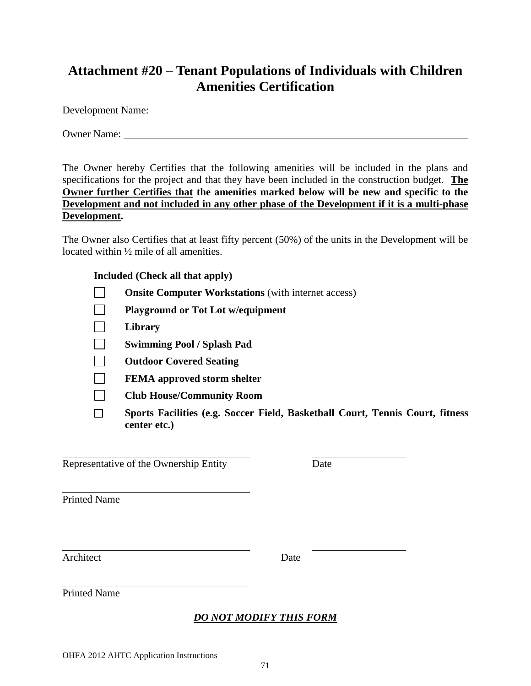# **Attachment #20 – Tenant Populations of Individuals with Children Amenities Certification**

Development Name:

Owner Name:

The Owner hereby Certifies that the following amenities will be included in the plans and specifications for the project and that they have been included in the construction budget. **The Owner further Certifies that the amenities marked below will be new and specific to the Development and not included in any other phase of the Development if it is a multi-phase Development.**

The Owner also Certifies that at least fifty percent (50%) of the units in the Development will be located within ½ mile of all amenities.

### **Included (Check all that apply)**

- $\Box$ **Onsite Computer Workstations** (with internet access)
- $\Box$ **Playground or Tot Lot w/equipment**
- $\Box$ **Library**
- $\Box$ **Swimming Pool / Splash Pad**
- $\Box$ **Outdoor Covered Seating**
- $\sim 10$ **FEMA approved storm shelter**
- $\Box$ **Club House/Community Room**
- $\Box$ **Sports Facilities (e.g. Soccer Field, Basketball Court, Tennis Court, fitness center etc.)**

Representative of the Ownership Entity Date

Printed Name

Architect Date

Printed Name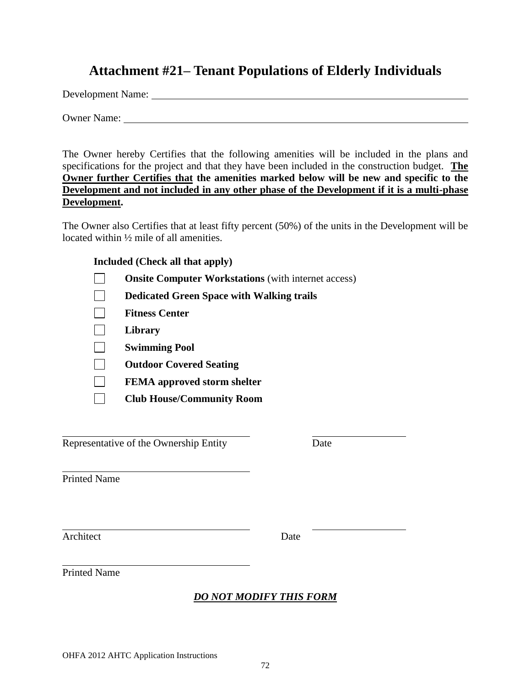# **Attachment #21– Tenant Populations of Elderly Individuals**

Development Name:

Owner Name:

The Owner hereby Certifies that the following amenities will be included in the plans and specifications for the project and that they have been included in the construction budget. **The Owner further Certifies that the amenities marked below will be new and specific to the Development and not included in any other phase of the Development if it is a multi-phase Development.**

The Owner also Certifies that at least fifty percent (50%) of the units in the Development will be located within ½ mile of all amenities.

#### **Included (Check all that apply)**

| <b>Onsite Computer Workstations</b> (with internet access) |
|------------------------------------------------------------|
| <b>Dedicated Green Space with Walking trails</b>           |
| <b>Fitness Center</b>                                      |
| Library                                                    |
| <b>Swimming Pool</b>                                       |
| <b>Outdoor Covered Seating</b>                             |
| <b>FEMA</b> approved storm shelter                         |
| <b>Club House/Community Room</b>                           |

Representative of the Ownership Entity Date

Printed Name

Architect Date

Printed Name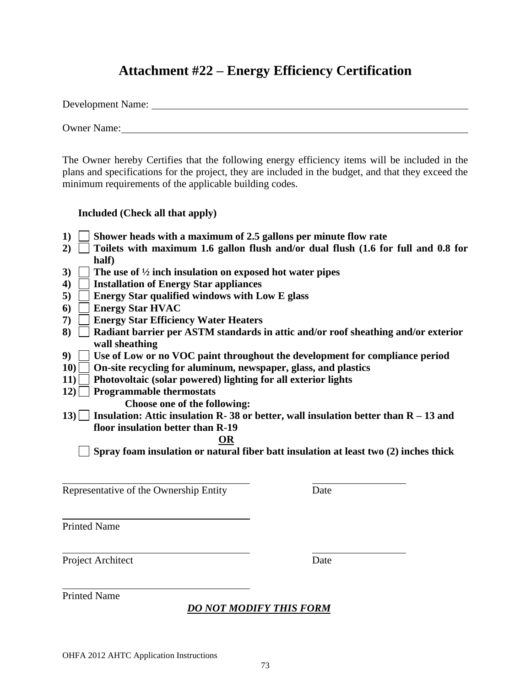## **Attachment #22 – Energy Efficiency Certification**

Development Name:

Owner Name:

The Owner hereby Certifies that the following energy efficiency items will be included in the plans and specifications for the project, they are included in the budget, and that they exceed the minimum requirements of the applicable building codes.

#### **Included (Check all that apply)**

- **1) Shower heads with a maximum of 2.5 gallons per minute flow rate**
- **2) Toilets with maximum 1.6 gallon flush and/or dual flush (1.6 for full and 0.8 for half)**
- **3) The use of ½ inch insulation on exposed hot water pipes**
- **4) Installation of Energy Star appliances**
- **5) Energy Star qualified windows with Low E glass**
- **6) Energy Star HVAC**
- **7) Energy Star Efficiency Water Heaters**
- **8) Radiant barrier per ASTM standards in attic and/or roof sheathing and/or exterior wall sheathing**
- **9) Use of Low or no VOC paint throughout the development for compliance period**
- **10) On-site recycling for aluminum, newspaper, glass, and plastics**
- **11) Photovoltaic (solar powered) lighting for all exterior lights**
- **12) Programmable thermostats**
	- **Choose one of the following:**
- **13) Insulation: Attic insulation R- 38 or better, wall insulation better than R – 13 and floor insulation better than R-19**

#### **OR**

**Spray foam insulation or natural fiber batt insulation at least two (2) inches thick**

Representative of the Ownership Entity Date

Printed Name

Project Architect Date

Printed Name

### *DO NOT MODIFY THIS FORM*